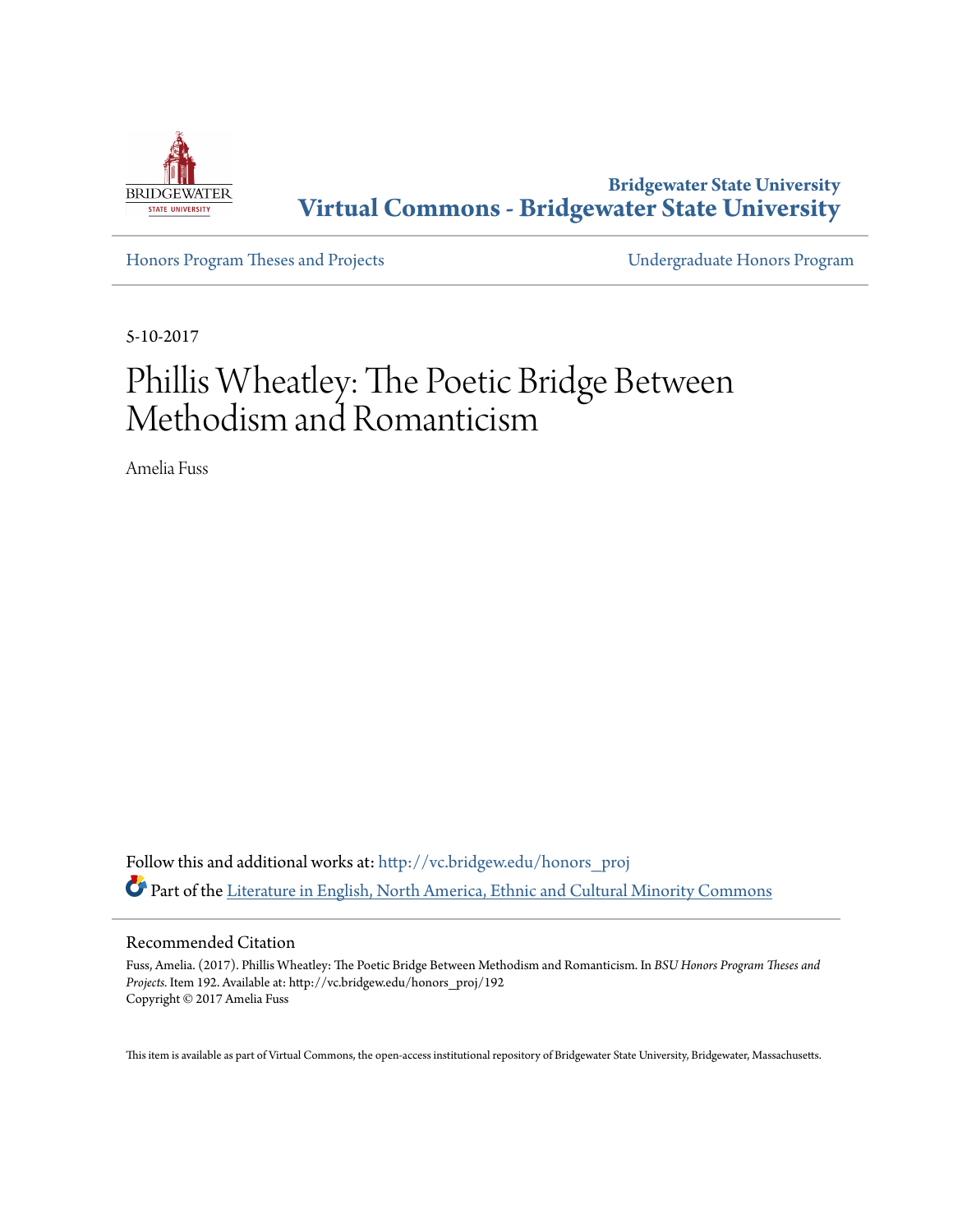

**Bridgewater State University [Virtual Commons - Bridgewater State University](http://vc.bridgew.edu?utm_source=vc.bridgew.edu%2Fhonors_proj%2F192&utm_medium=PDF&utm_campaign=PDFCoverPages)**

[Honors Program Theses and Projects](http://vc.bridgew.edu/honors_proj?utm_source=vc.bridgew.edu%2Fhonors_proj%2F192&utm_medium=PDF&utm_campaign=PDFCoverPages) [Undergraduate Honors Program](http://vc.bridgew.edu/honors?utm_source=vc.bridgew.edu%2Fhonors_proj%2F192&utm_medium=PDF&utm_campaign=PDFCoverPages)

5-10-2017

# Phillis Wheatley: The Poetic Bridge Between Methodism and Romanticism

Amelia Fuss

Follow this and additional works at: [http://vc.bridgew.edu/honors\\_proj](http://vc.bridgew.edu/honors_proj?utm_source=vc.bridgew.edu%2Fhonors_proj%2F192&utm_medium=PDF&utm_campaign=PDFCoverPages) Part of the [Literature in English, North America, Ethnic and Cultural Minority Commons](http://network.bepress.com/hgg/discipline/459?utm_source=vc.bridgew.edu%2Fhonors_proj%2F192&utm_medium=PDF&utm_campaign=PDFCoverPages)

#### Recommended Citation

Fuss, Amelia. (2017). Phillis Wheatley: The Poetic Bridge Between Methodism and Romanticism. In *BSU Honors Program Theses and Projects.* Item 192. Available at: http://vc.bridgew.edu/honors\_proj/192 Copyright © 2017 Amelia Fuss

This item is available as part of Virtual Commons, the open-access institutional repository of Bridgewater State University, Bridgewater, Massachusetts.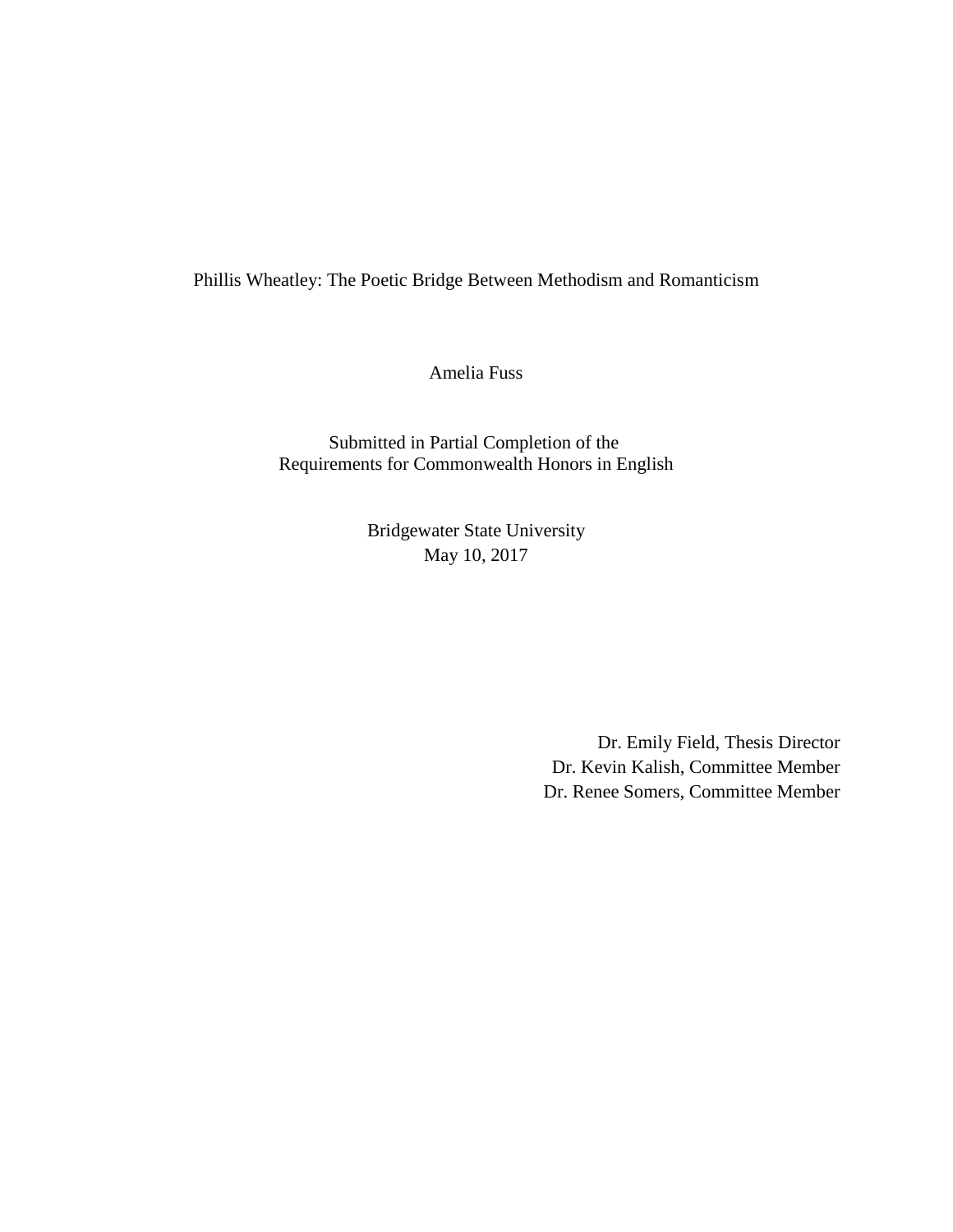Phillis Wheatley: The Poetic Bridge Between Methodism and Romanticism

Amelia Fuss

Submitted in Partial Completion of the Requirements for Commonwealth Honors in English

> Bridgewater State University May 10, 2017

> > Dr. Emily Field, Thesis Director Dr. Kevin Kalish, Committee Member Dr. Renee Somers, Committee Member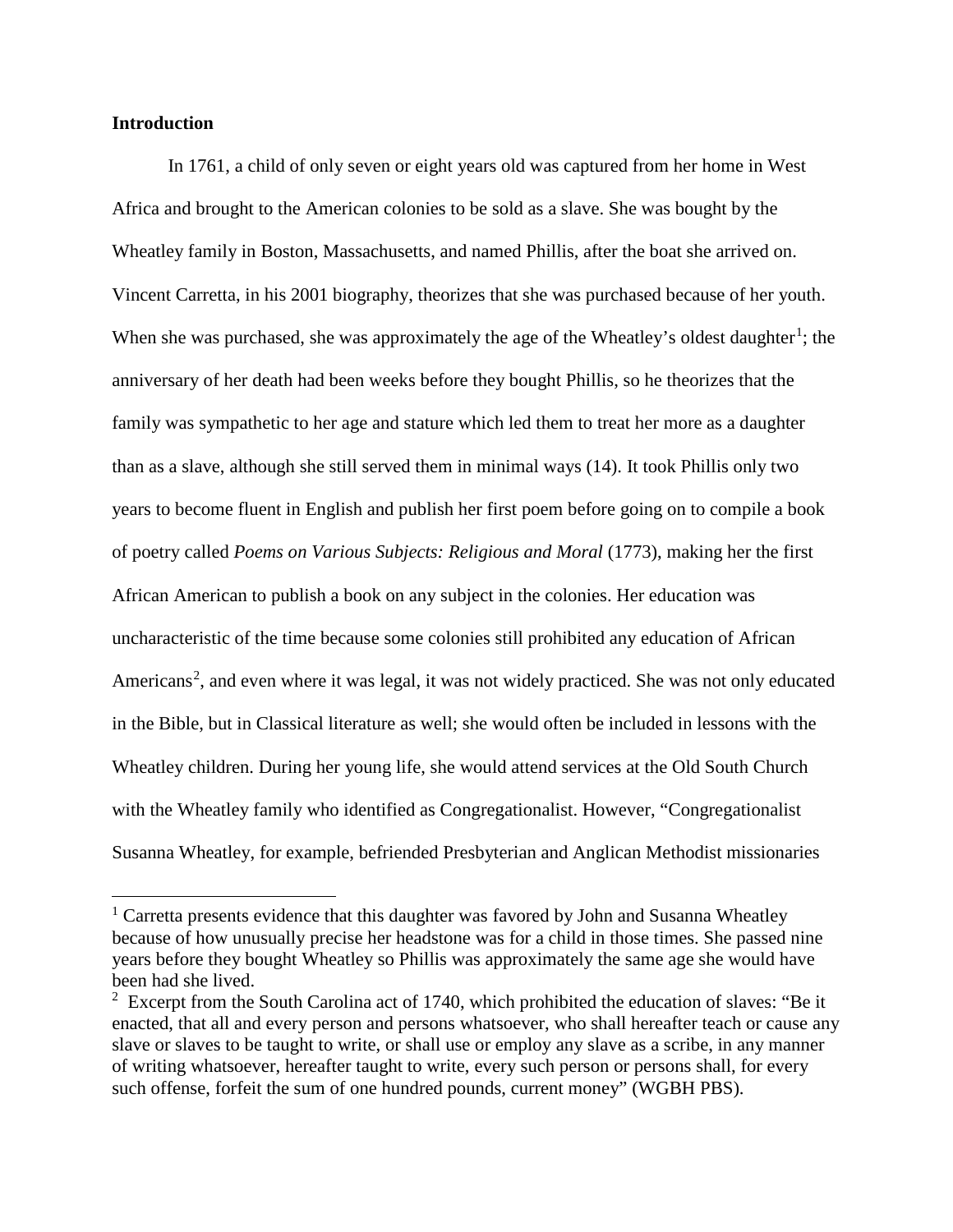# **Introduction**

In 1761, a child of only seven or eight years old was captured from her home in West Africa and brought to the American colonies to be sold as a slave. She was bought by the Wheatley family in Boston, Massachusetts, and named Phillis, after the boat she arrived on. Vincent Carretta, in his 2001 biography, theorizes that she was purchased because of her youth. When she was purchased, she was approximately the age of the Wheatley's oldest daughter<sup>[1](#page-2-0)</sup>; the anniversary of her death had been weeks before they bought Phillis, so he theorizes that the family was sympathetic to her age and stature which led them to treat her more as a daughter than as a slave, although she still served them in minimal ways (14). It took Phillis only two years to become fluent in English and publish her first poem before going on to compile a book of poetry called *Poems on Various Subjects: Religious and Moral* (1773), making her the first African American to publish a book on any subject in the colonies. Her education was uncharacteristic of the time because some colonies still prohibited any education of African Americans<sup>[2](#page-2-1)</sup>, and even where it was legal, it was not widely practiced. She was not only educated in the Bible, but in Classical literature as well; she would often be included in lessons with the Wheatley children. During her young life, she would attend services at the Old South Church with the Wheatley family who identified as Congregationalist. However, "Congregationalist Susanna Wheatley, for example, befriended Presbyterian and Anglican Methodist missionaries

<span id="page-2-0"></span><sup>&</sup>lt;sup>1</sup> Carretta presents evidence that this daughter was favored by John and Susanna Wheatley because of how unusually precise her headstone was for a child in those times. She passed nine years before they bought Wheatley so Phillis was approximately the same age she would have been had she lived.

<span id="page-2-1"></span> $2$  Excerpt from the South Carolina act of 1740, which prohibited the education of slaves: "Be it enacted, that all and every person and persons whatsoever, who shall hereafter teach or cause any slave or slaves to be taught to write, or shall use or employ any slave as a scribe, in any manner of writing whatsoever, hereafter taught to write, every such person or persons shall, for every such offense, forfeit the sum of one hundred pounds, current money" (WGBH PBS).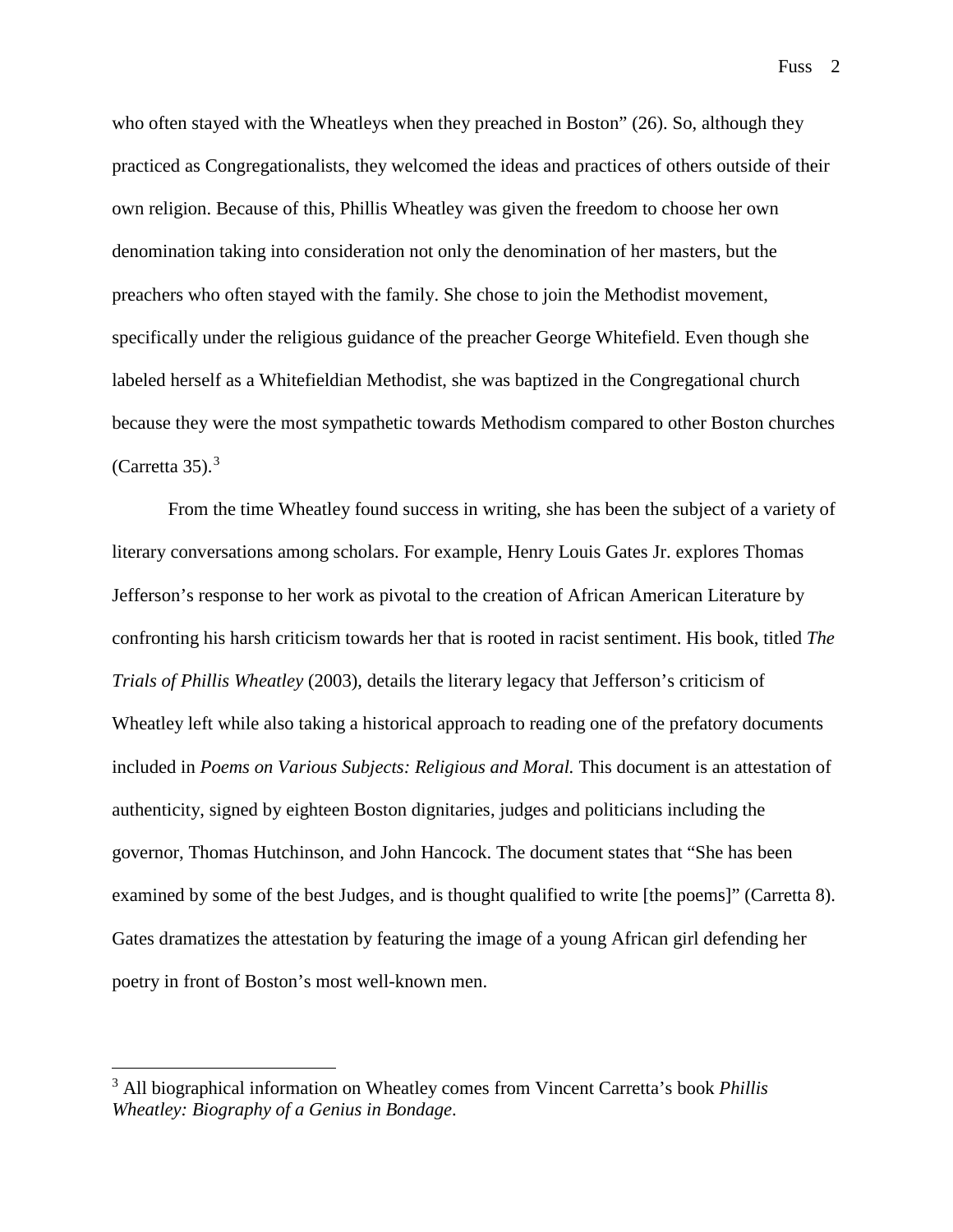who often stayed with the Wheatleys when they preached in Boston" (26). So, although they practiced as Congregationalists, they welcomed the ideas and practices of others outside of their own religion. Because of this, Phillis Wheatley was given the freedom to choose her own denomination taking into consideration not only the denomination of her masters, but the preachers who often stayed with the family. She chose to join the Methodist movement, specifically under the religious guidance of the preacher George Whitefield. Even though she labeled herself as a Whitefieldian Methodist, she was baptized in the Congregational church because they were the most sympathetic towards Methodism compared to other Boston churches (Carretta [3](#page-3-0)5). $3$ 

From the time Wheatley found success in writing, she has been the subject of a variety of literary conversations among scholars. For example, Henry Louis Gates Jr. explores Thomas Jefferson's response to her work as pivotal to the creation of African American Literature by confronting his harsh criticism towards her that is rooted in racist sentiment. His book, titled *The Trials of Phillis Wheatley* (2003), details the literary legacy that Jefferson's criticism of Wheatley left while also taking a historical approach to reading one of the prefatory documents included in *Poems on Various Subjects: Religious and Moral.* This document is an attestation of authenticity, signed by eighteen Boston dignitaries, judges and politicians including the governor, Thomas Hutchinson, and John Hancock. The document states that "She has been examined by some of the best Judges, and is thought qualified to write [the poems]" (Carretta 8). Gates dramatizes the attestation by featuring the image of a young African girl defending her poetry in front of Boston's most well-known men.

<span id="page-3-0"></span> <sup>3</sup> All biographical information on Wheatley comes from Vincent Carretta's book *Phillis Wheatley: Biography of a Genius in Bondage*.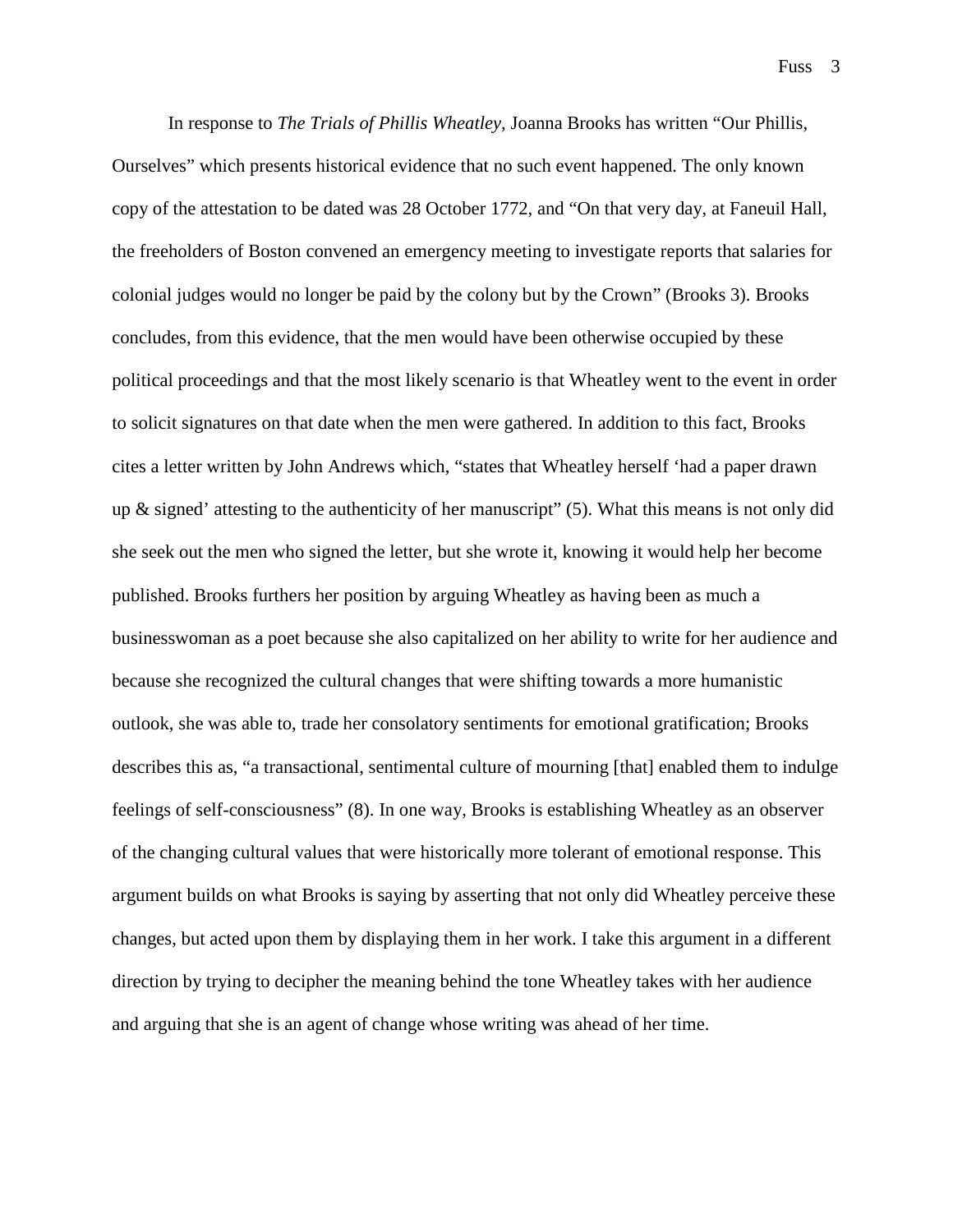In response to *The Trials of Phillis Wheatley,* Joanna Brooks has written "Our Phillis, Ourselves" which presents historical evidence that no such event happened. The only known copy of the attestation to be dated was 28 October 1772, and "On that very day, at Faneuil Hall, the freeholders of Boston convened an emergency meeting to investigate reports that salaries for colonial judges would no longer be paid by the colony but by the Crown" (Brooks 3). Brooks concludes, from this evidence, that the men would have been otherwise occupied by these political proceedings and that the most likely scenario is that Wheatley went to the event in order to solicit signatures on that date when the men were gathered. In addition to this fact, Brooks cites a letter written by John Andrews which, "states that Wheatley herself 'had a paper drawn up  $\&$  signed' attesting to the authenticity of her manuscript" (5). What this means is not only did she seek out the men who signed the letter, but she wrote it, knowing it would help her become published. Brooks furthers her position by arguing Wheatley as having been as much a businesswoman as a poet because she also capitalized on her ability to write for her audience and because she recognized the cultural changes that were shifting towards a more humanistic outlook, she was able to, trade her consolatory sentiments for emotional gratification; Brooks describes this as, "a transactional, sentimental culture of mourning [that] enabled them to indulge feelings of self-consciousness" (8). In one way, Brooks is establishing Wheatley as an observer of the changing cultural values that were historically more tolerant of emotional response. This argument builds on what Brooks is saying by asserting that not only did Wheatley perceive these changes, but acted upon them by displaying them in her work. I take this argument in a different direction by trying to decipher the meaning behind the tone Wheatley takes with her audience and arguing that she is an agent of change whose writing was ahead of her time.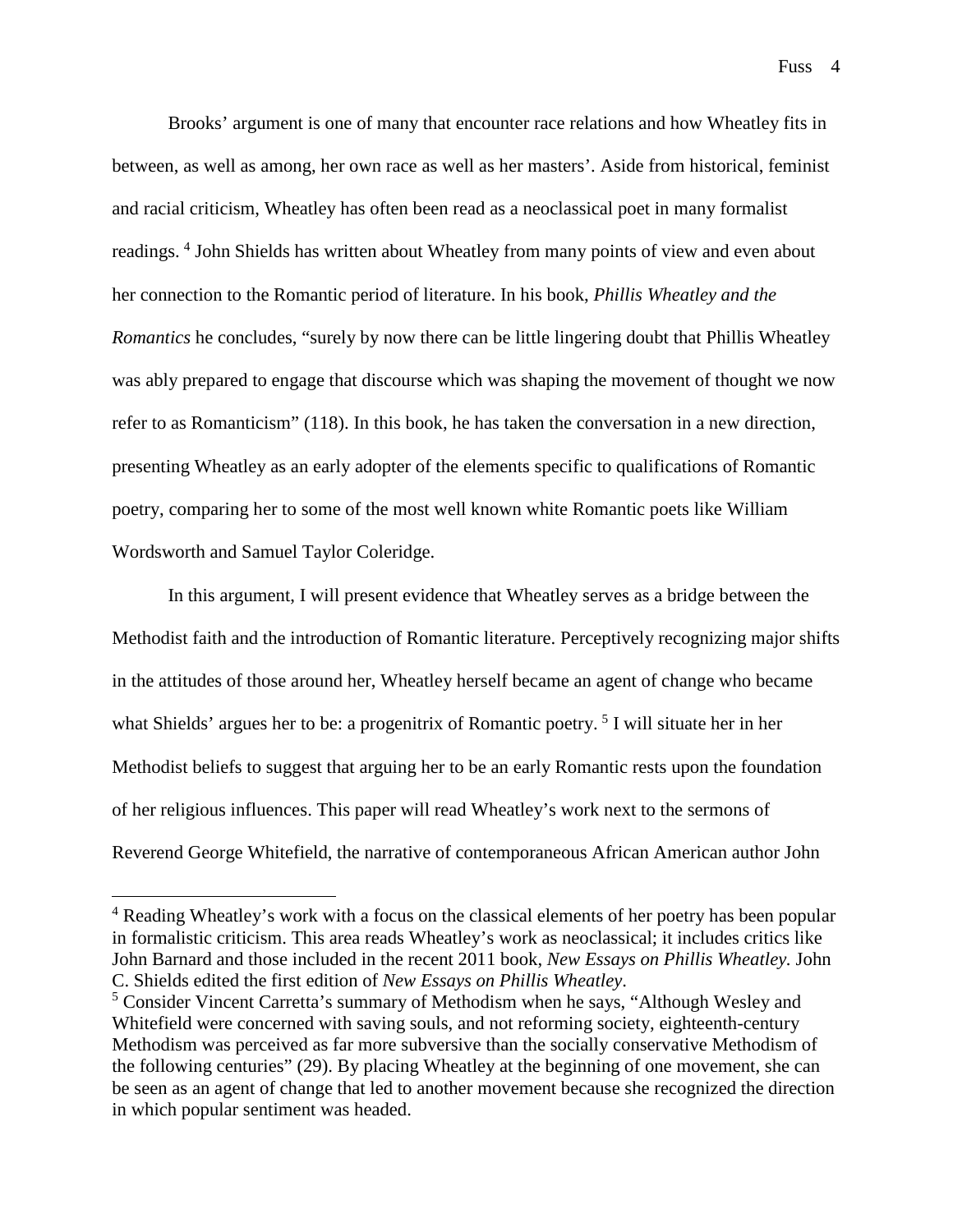Brooks' argument is one of many that encounter race relations and how Wheatley fits in between, as well as among, her own race as well as her masters'. Aside from historical, feminist and racial criticism, Wheatley has often been read as a neoclassical poet in many formalist readings. [4](#page-5-0) John Shields has written about Wheatley from many points of view and even about her connection to the Romantic period of literature. In his book, *Phillis Wheatley and the Romantics* he concludes, "surely by now there can be little lingering doubt that Phillis Wheatley was ably prepared to engage that discourse which was shaping the movement of thought we now refer to as Romanticism" (118). In this book, he has taken the conversation in a new direction, presenting Wheatley as an early adopter of the elements specific to qualifications of Romantic poetry, comparing her to some of the most well known white Romantic poets like William Wordsworth and Samuel Taylor Coleridge.

In this argument, I will present evidence that Wheatley serves as a bridge between the Methodist faith and the introduction of Romantic literature. Perceptively recognizing major shifts in the attitudes of those around her, Wheatley herself became an agent of change who became what Shields' argues her to be: a progenitrix of Romantic poetry.<sup>[5](#page-5-1)</sup> I will situate her in her Methodist beliefs to suggest that arguing her to be an early Romantic rests upon the foundation of her religious influences. This paper will read Wheatley's work next to the sermons of Reverend George Whitefield, the narrative of contemporaneous African American author John

<span id="page-5-0"></span><sup>&</sup>lt;sup>4</sup> Reading Wheatley's work with a focus on the classical elements of her poetry has been popular in formalistic criticism. This area reads Wheatley's work as neoclassical; it includes critics like John Barnard and those included in the recent 2011 book, *New Essays on Phillis Wheatley.* John C. Shields edited the first edition of *New Essays on Phillis Wheatley*.

<span id="page-5-1"></span><sup>5</sup> Consider Vincent Carretta's summary of Methodism when he says, "Although Wesley and Whitefield were concerned with saving souls, and not reforming society, eighteenth-century Methodism was perceived as far more subversive than the socially conservative Methodism of the following centuries" (29). By placing Wheatley at the beginning of one movement, she can be seen as an agent of change that led to another movement because she recognized the direction in which popular sentiment was headed.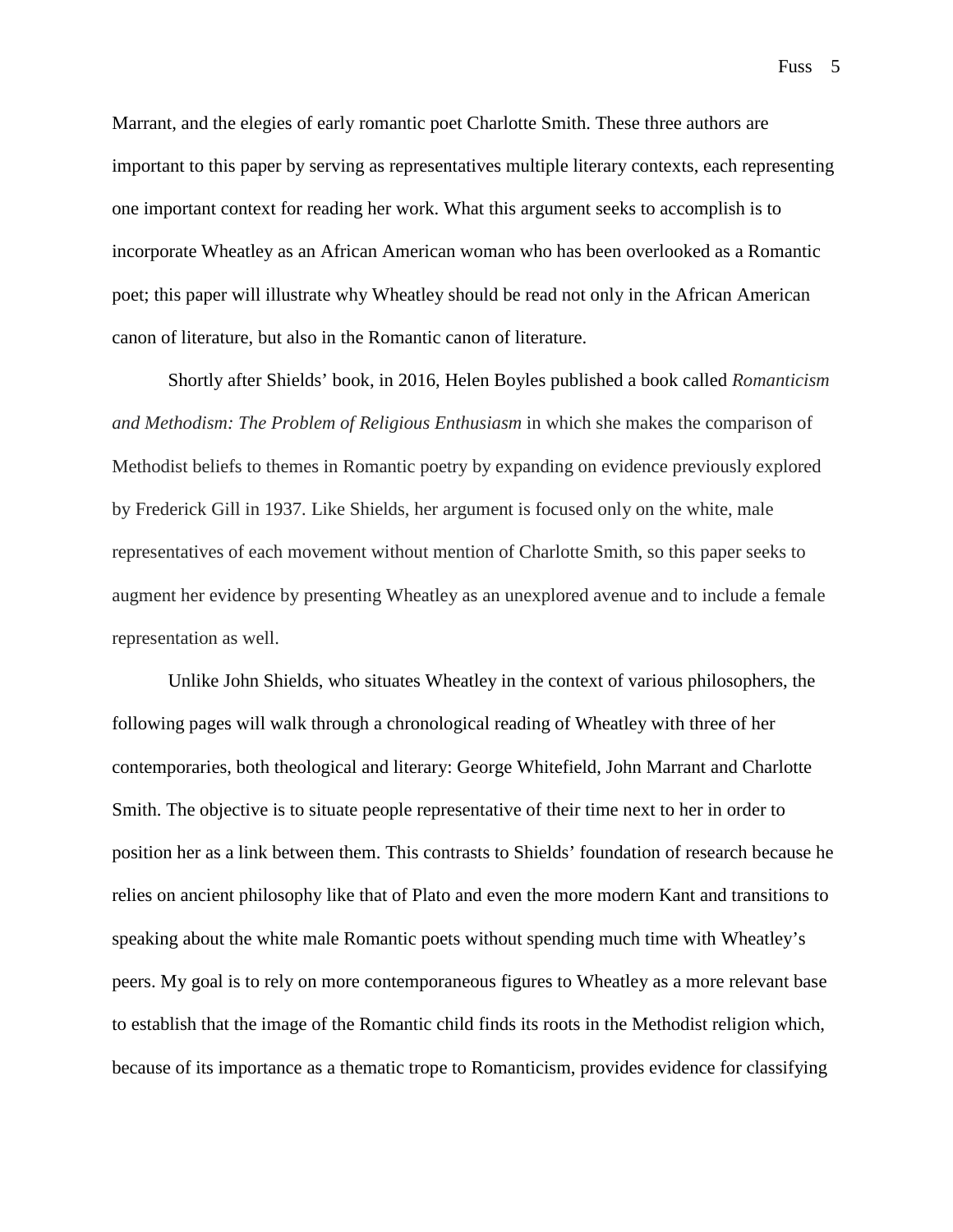Marrant, and the elegies of early romantic poet Charlotte Smith. These three authors are important to this paper by serving as representatives multiple literary contexts, each representing one important context for reading her work. What this argument seeks to accomplish is to incorporate Wheatley as an African American woman who has been overlooked as a Romantic poet; this paper will illustrate why Wheatley should be read not only in the African American canon of literature, but also in the Romantic canon of literature.

Shortly after Shields' book, in 2016, Helen Boyles published a book called *Romanticism and Methodism: The Problem of Religious Enthusiasm* in which she makes the comparison of Methodist beliefs to themes in Romantic poetry by expanding on evidence previously explored by Frederick Gill in 1937*.* Like Shields, her argument is focused only on the white, male representatives of each movement without mention of Charlotte Smith, so this paper seeks to augment her evidence by presenting Wheatley as an unexplored avenue and to include a female representation as well.

Unlike John Shields, who situates Wheatley in the context of various philosophers, the following pages will walk through a chronological reading of Wheatley with three of her contemporaries, both theological and literary: George Whitefield, John Marrant and Charlotte Smith. The objective is to situate people representative of their time next to her in order to position her as a link between them. This contrasts to Shields' foundation of research because he relies on ancient philosophy like that of Plato and even the more modern Kant and transitions to speaking about the white male Romantic poets without spending much time with Wheatley's peers. My goal is to rely on more contemporaneous figures to Wheatley as a more relevant base to establish that the image of the Romantic child finds its roots in the Methodist religion which, because of its importance as a thematic trope to Romanticism, provides evidence for classifying

Fuss 5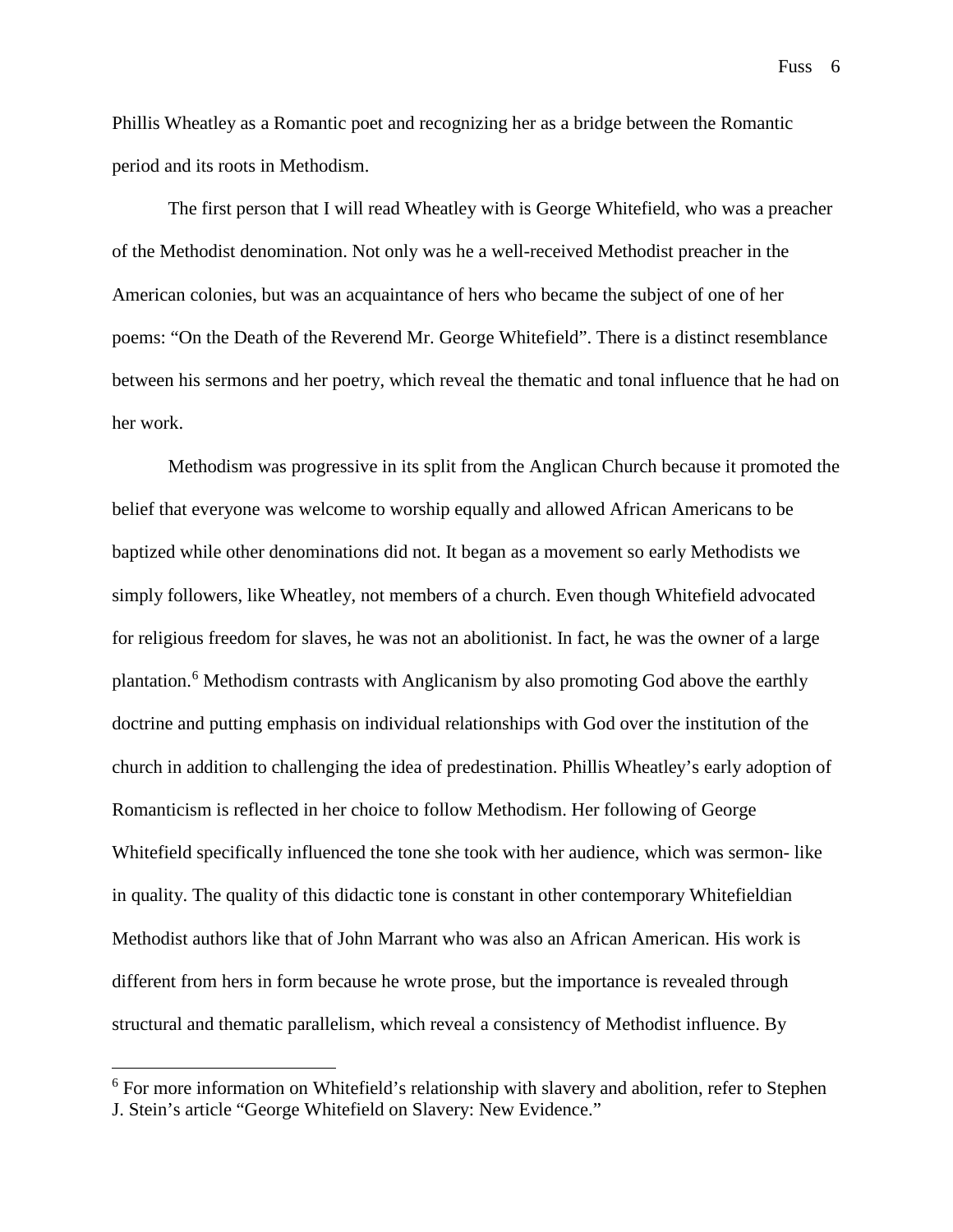Phillis Wheatley as a Romantic poet and recognizing her as a bridge between the Romantic period and its roots in Methodism.

The first person that I will read Wheatley with is George Whitefield, who was a preacher of the Methodist denomination. Not only was he a well-received Methodist preacher in the American colonies, but was an acquaintance of hers who became the subject of one of her poems: "On the Death of the Reverend Mr. George Whitefield". There is a distinct resemblance between his sermons and her poetry, which reveal the thematic and tonal influence that he had on her work.

Methodism was progressive in its split from the Anglican Church because it promoted the belief that everyone was welcome to worship equally and allowed African Americans to be baptized while other denominations did not. It began as a movement so early Methodists we simply followers, like Wheatley, not members of a church. Even though Whitefield advocated for religious freedom for slaves, he was not an abolitionist. In fact, he was the owner of a large plantation.[6](#page-7-0) Methodism contrasts with Anglicanism by also promoting God above the earthly doctrine and putting emphasis on individual relationships with God over the institution of the church in addition to challenging the idea of predestination. Phillis Wheatley's early adoption of Romanticism is reflected in her choice to follow Methodism. Her following of George Whitefield specifically influenced the tone she took with her audience, which was sermon- like in quality. The quality of this didactic tone is constant in other contemporary Whitefieldian Methodist authors like that of John Marrant who was also an African American. His work is different from hers in form because he wrote prose, but the importance is revealed through structural and thematic parallelism, which reveal a consistency of Methodist influence. By

Fuss 6

<span id="page-7-0"></span><sup>&</sup>lt;sup>6</sup> For more information on Whitefield's relationship with slavery and abolition, refer to Stephen J. Stein's article "George Whitefield on Slavery: New Evidence."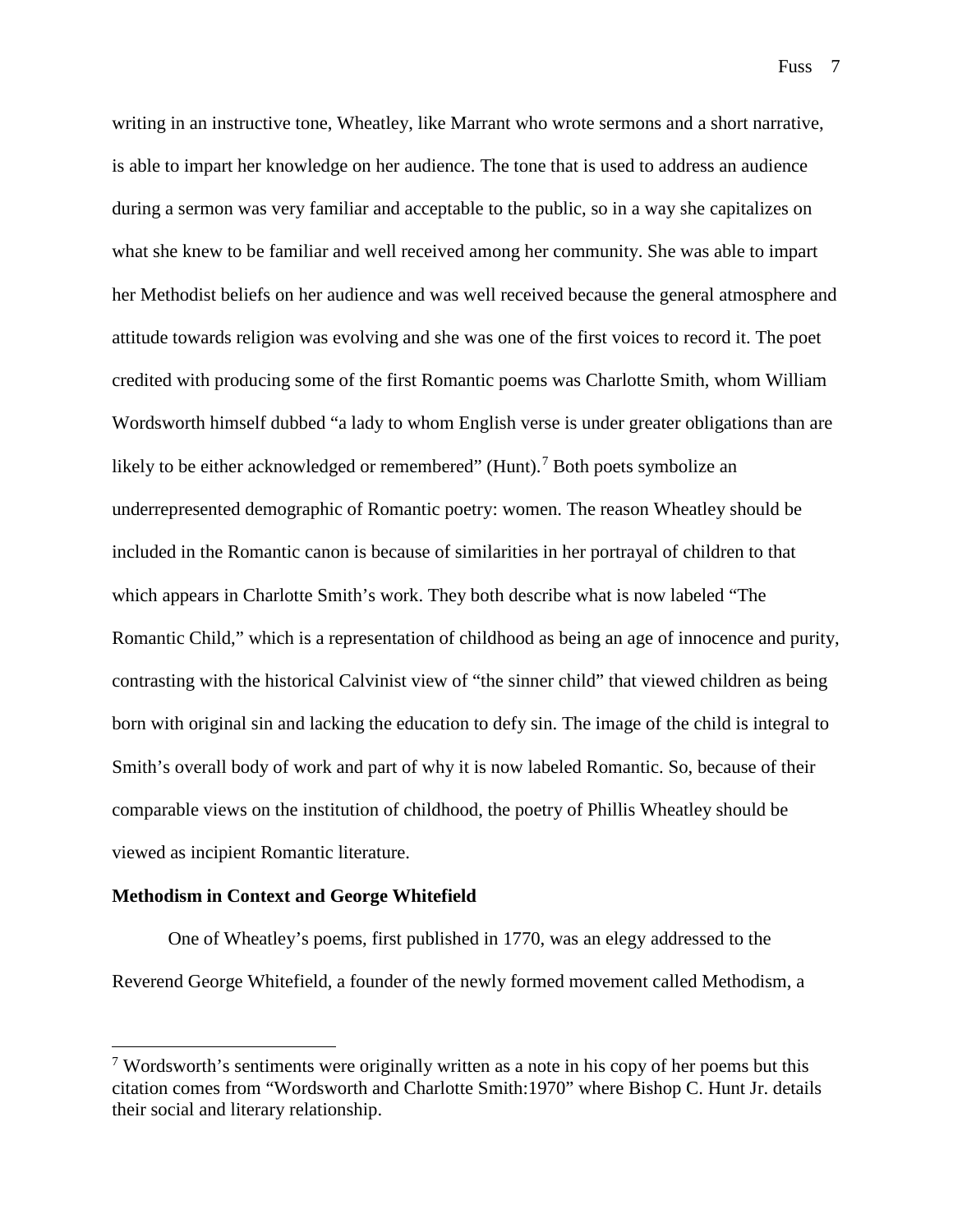writing in an instructive tone, Wheatley, like Marrant who wrote sermons and a short narrative, is able to impart her knowledge on her audience. The tone that is used to address an audience during a sermon was very familiar and acceptable to the public, so in a way she capitalizes on what she knew to be familiar and well received among her community. She was able to impart her Methodist beliefs on her audience and was well received because the general atmosphere and attitude towards religion was evolving and she was one of the first voices to record it. The poet credited with producing some of the first Romantic poems was Charlotte Smith, whom William Wordsworth himself dubbed "a lady to whom English verse is under greater obligations than are likely to be either acknowledged or remembered" (Hunt).<sup>[7](#page-8-0)</sup> Both poets symbolize an underrepresented demographic of Romantic poetry: women. The reason Wheatley should be included in the Romantic canon is because of similarities in her portrayal of children to that which appears in Charlotte Smith's work. They both describe what is now labeled "The Romantic Child," which is a representation of childhood as being an age of innocence and purity, contrasting with the historical Calvinist view of "the sinner child" that viewed children as being born with original sin and lacking the education to defy sin. The image of the child is integral to Smith's overall body of work and part of why it is now labeled Romantic. So, because of their comparable views on the institution of childhood, the poetry of Phillis Wheatley should be viewed as incipient Romantic literature.

#### **Methodism in Context and George Whitefield**

One of Wheatley's poems, first published in 1770, was an elegy addressed to the Reverend George Whitefield, a founder of the newly formed movement called Methodism, a

<span id="page-8-0"></span> $<sup>7</sup>$  Wordsworth's sentiments were originally written as a note in his copy of her poems but this</sup> citation comes from "Wordsworth and Charlotte Smith:1970" where Bishop C. Hunt Jr. details their social and literary relationship.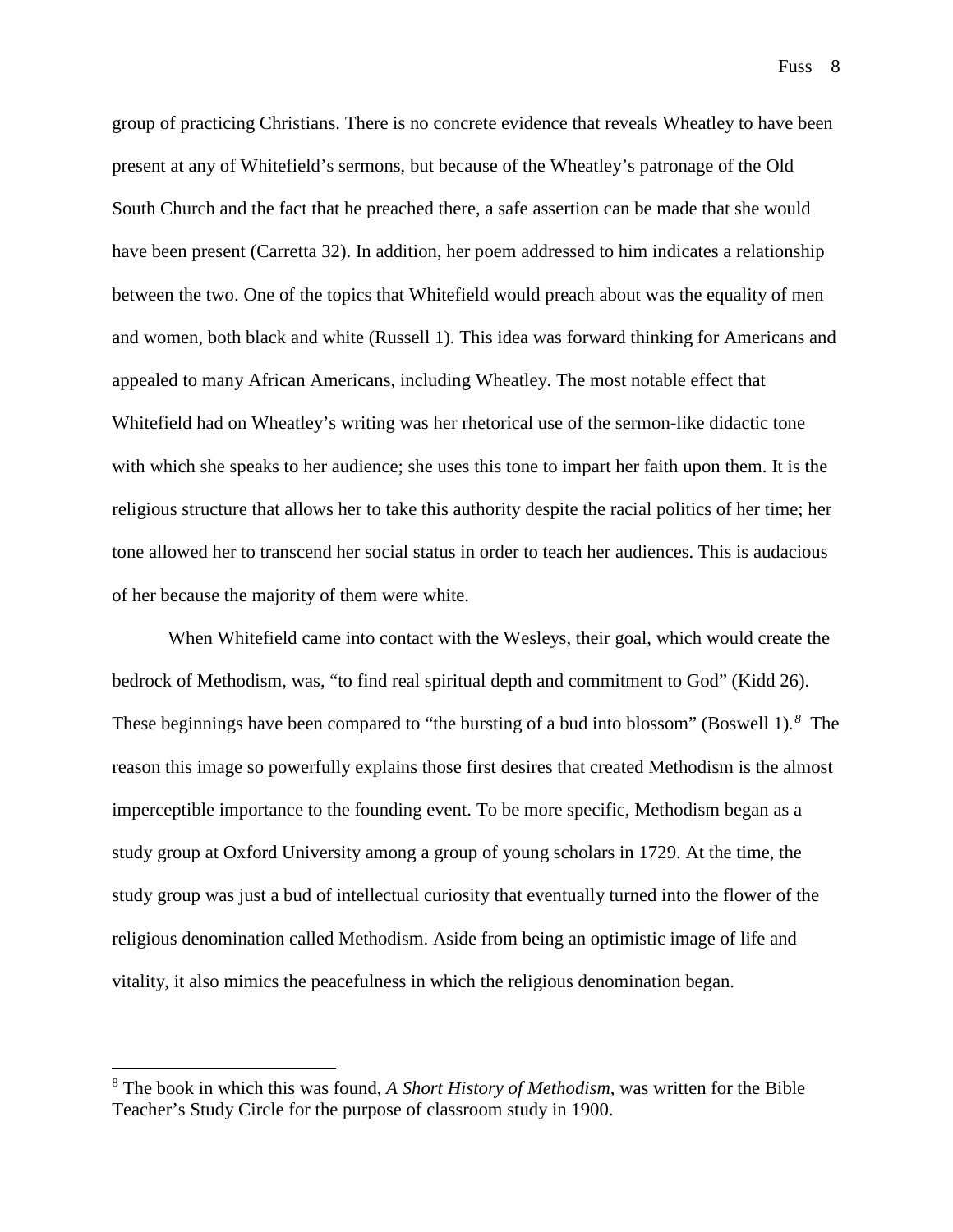group of practicing Christians. There is no concrete evidence that reveals Wheatley to have been present at any of Whitefield's sermons, but because of the Wheatley's patronage of the Old South Church and the fact that he preached there, a safe assertion can be made that she would have been present (Carretta 32). In addition, her poem addressed to him indicates a relationship between the two. One of the topics that Whitefield would preach about was the equality of men and women, both black and white (Russell 1). This idea was forward thinking for Americans and appealed to many African Americans, including Wheatley. The most notable effect that Whitefield had on Wheatley's writing was her rhetorical use of the sermon-like didactic tone with which she speaks to her audience; she uses this tone to impart her faith upon them. It is the religious structure that allows her to take this authority despite the racial politics of her time; her tone allowed her to transcend her social status in order to teach her audiences. This is audacious of her because the majority of them were white.

When Whitefield came into contact with the Wesleys, their goal, which would create the bedrock of Methodism, was, "to find real spiritual depth and commitment to God" (Kidd 26). These beginnings have been compared to "the bursting of a bud into blossom" (Boswell 1)*. [8](#page-9-0)* The reason this image so powerfully explains those first desires that created Methodism is the almost imperceptible importance to the founding event. To be more specific, Methodism began as a study group at Oxford University among a group of young scholars in 1729. At the time, the study group was just a bud of intellectual curiosity that eventually turned into the flower of the religious denomination called Methodism. Aside from being an optimistic image of life and vitality, it also mimics the peacefulness in which the religious denomination began.

<span id="page-9-0"></span> <sup>8</sup> The book in which this was found, *A Short History of Methodism,* was written for the Bible Teacher's Study Circle for the purpose of classroom study in 1900.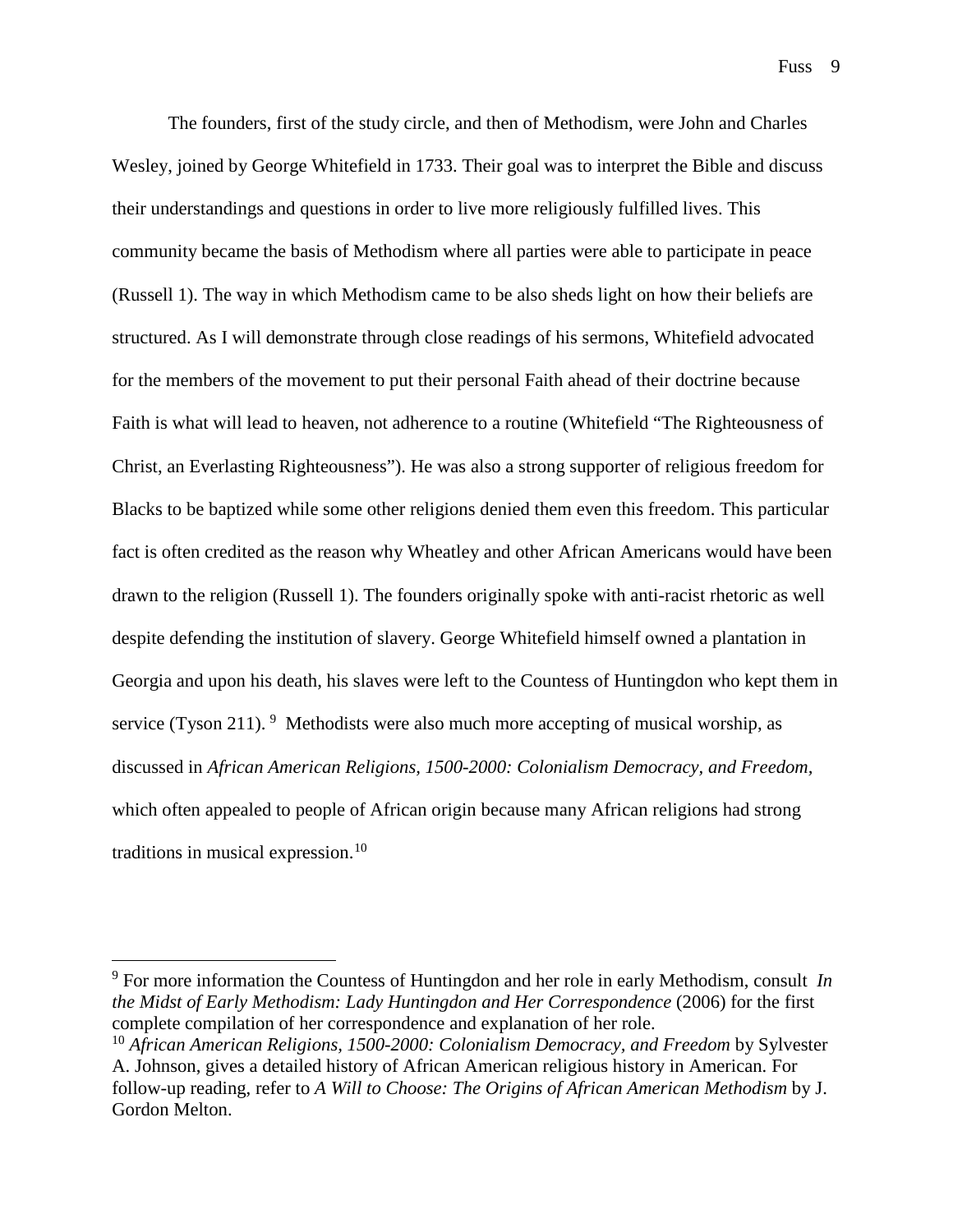The founders, first of the study circle, and then of Methodism, were John and Charles Wesley, joined by George Whitefield in 1733. Their goal was to interpret the Bible and discuss their understandings and questions in order to live more religiously fulfilled lives. This community became the basis of Methodism where all parties were able to participate in peace (Russell 1). The way in which Methodism came to be also sheds light on how their beliefs are structured. As I will demonstrate through close readings of his sermons, Whitefield advocated for the members of the movement to put their personal Faith ahead of their doctrine because Faith is what will lead to heaven, not adherence to a routine (Whitefield "The Righteousness of Christ, an Everlasting Righteousness"). He was also a strong supporter of religious freedom for Blacks to be baptized while some other religions denied them even this freedom. This particular fact is often credited as the reason why Wheatley and other African Americans would have been drawn to the religion (Russell 1). The founders originally spoke with anti-racist rhetoric as well despite defending the institution of slavery. George Whitefield himself owned a plantation in Georgia and upon his death, his slaves were left to the Countess of Huntingdon who kept them in service (Tyson 211).  $9$  Methodists were also much more accepting of musical worship, as discussed in *African American Religions, 1500-2000: Colonialism Democracy, and Freedom,* which often appealed to people of African origin because many African religions had strong traditions in musical expression. $10$ 

<span id="page-10-0"></span> <sup>9</sup> For more information the Countess of Huntingdon and her role in early Methodism, consult *In the Midst of Early Methodism: Lady Huntingdon and Her Correspondence* (2006) for the first complete compilation of her correspondence and explanation of her role.

<span id="page-10-1"></span><sup>10</sup> *African American Religions, 1500-2000: Colonialism Democracy, and Freedom* by Sylvester A. Johnson, gives a detailed history of African American religious history in American. For follow-up reading, refer to *A Will to Choose: The Origins of African American Methodism* by J. Gordon Melton.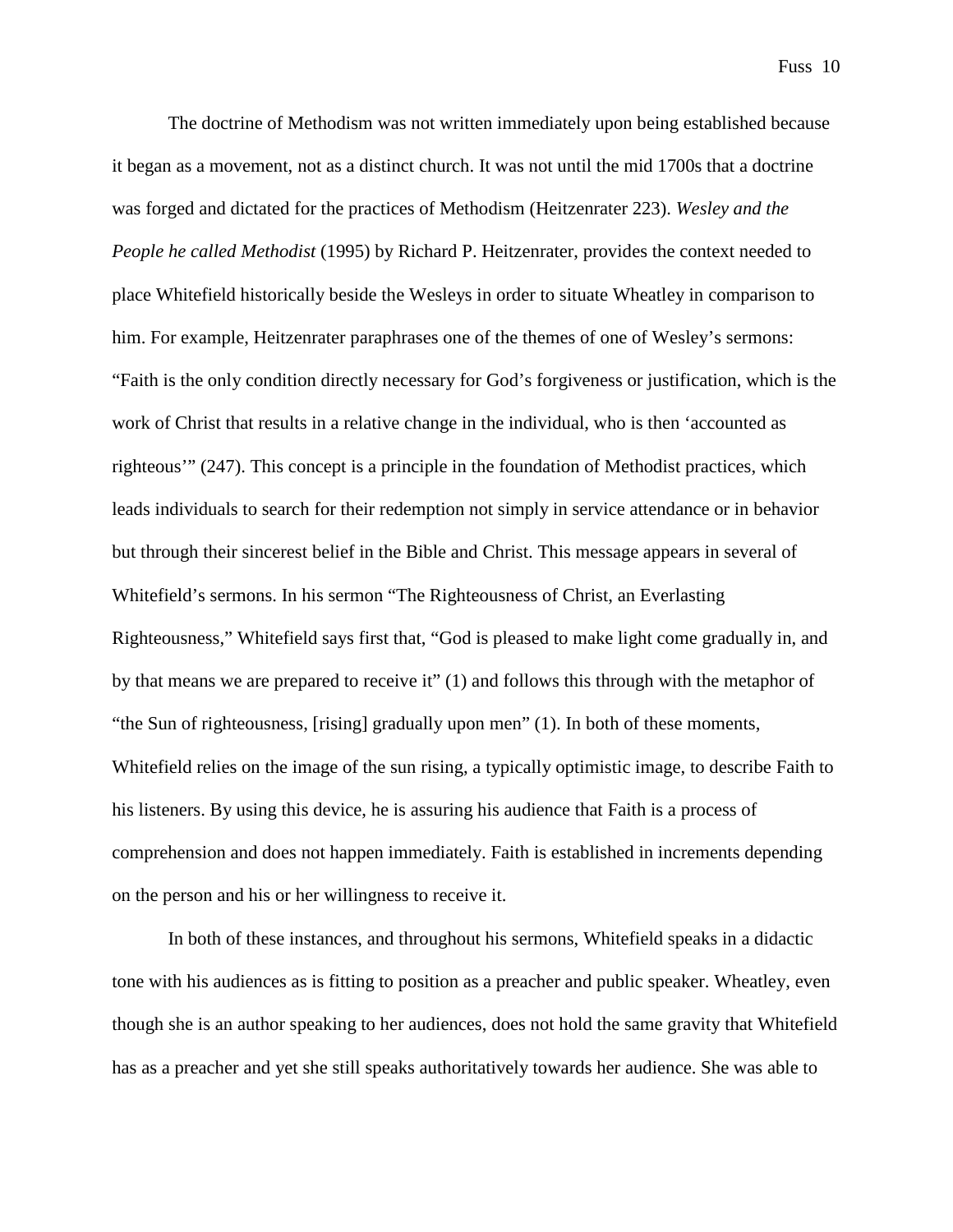The doctrine of Methodism was not written immediately upon being established because it began as a movement, not as a distinct church. It was not until the mid 1700s that a doctrine was forged and dictated for the practices of Methodism (Heitzenrater 223). *Wesley and the People he called Methodist* (1995) by Richard P. Heitzenrater, provides the context needed to place Whitefield historically beside the Wesleys in order to situate Wheatley in comparison to him. For example, Heitzenrater paraphrases one of the themes of one of Wesley's sermons: "Faith is the only condition directly necessary for God's forgiveness or justification, which is the work of Christ that results in a relative change in the individual, who is then 'accounted as righteous'" (247). This concept is a principle in the foundation of Methodist practices, which leads individuals to search for their redemption not simply in service attendance or in behavior but through their sincerest belief in the Bible and Christ. This message appears in several of Whitefield's sermons. In his sermon "The Righteousness of Christ, an Everlasting Righteousness," Whitefield says first that, "God is pleased to make light come gradually in, and by that means we are prepared to receive it" (1) and follows this through with the metaphor of "the Sun of righteousness, [rising] gradually upon men" (1). In both of these moments, Whitefield relies on the image of the sun rising, a typically optimistic image, to describe Faith to his listeners. By using this device, he is assuring his audience that Faith is a process of comprehension and does not happen immediately. Faith is established in increments depending on the person and his or her willingness to receive it.

In both of these instances, and throughout his sermons, Whitefield speaks in a didactic tone with his audiences as is fitting to position as a preacher and public speaker. Wheatley, even though she is an author speaking to her audiences, does not hold the same gravity that Whitefield has as a preacher and yet she still speaks authoritatively towards her audience. She was able to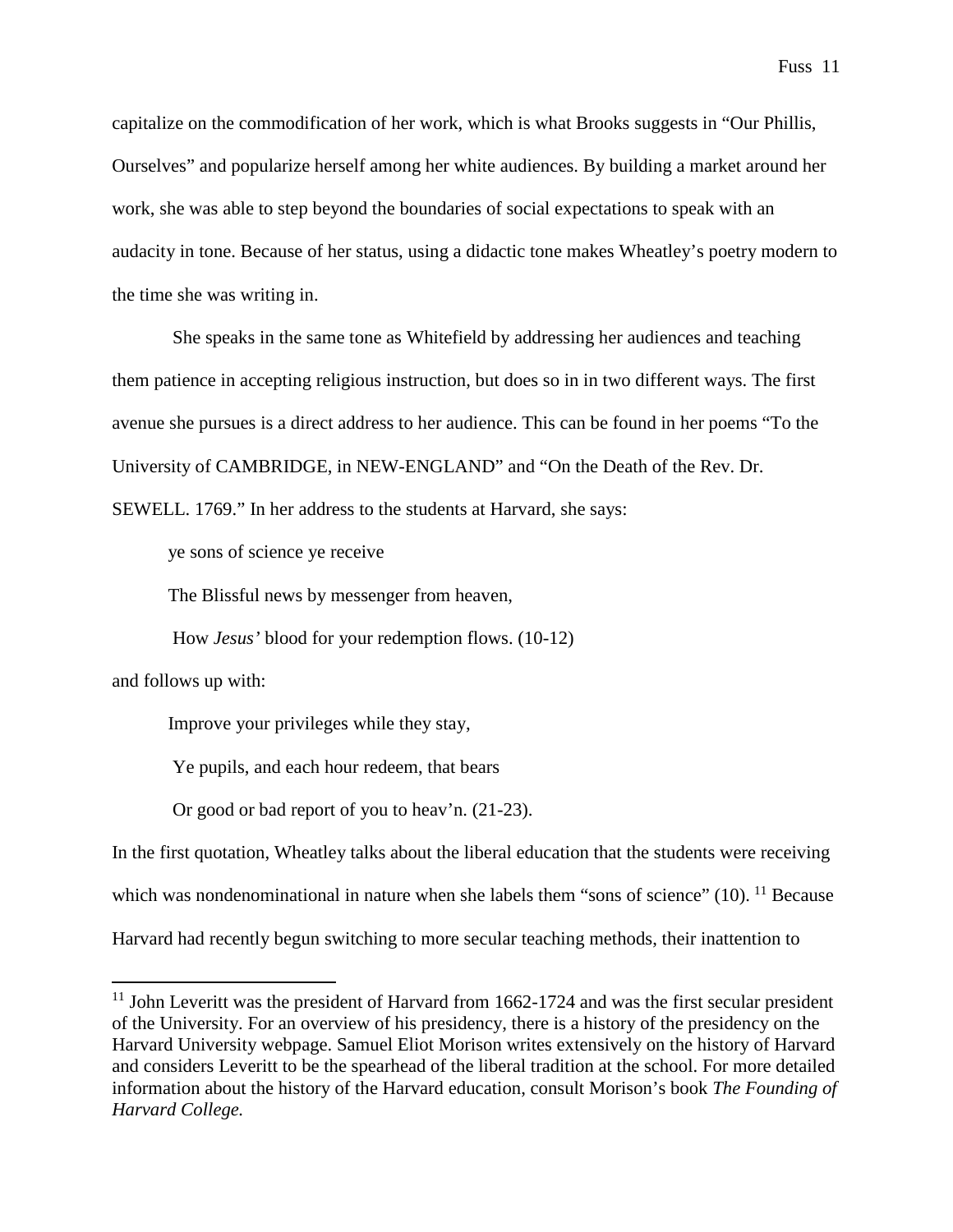capitalize on the commodification of her work, which is what Brooks suggests in "Our Phillis, Ourselves" and popularize herself among her white audiences. By building a market around her work, she was able to step beyond the boundaries of social expectations to speak with an audacity in tone. Because of her status, using a didactic tone makes Wheatley's poetry modern to the time she was writing in.

She speaks in the same tone as Whitefield by addressing her audiences and teaching them patience in accepting religious instruction, but does so in in two different ways. The first avenue she pursues is a direct address to her audience. This can be found in her poems "To the University of CAMBRIDGE, in NEW-ENGLAND" and "On the Death of the Rev. Dr.

SEWELL. 1769." In her address to the students at Harvard, she says:

ye sons of science ye receive

The Blissful news by messenger from heaven,

How *Jesus'* blood for your redemption flows. (10-12)

and follows up with:

Improve your privileges while they stay,

Ye pupils, and each hour redeem, that bears

Or good or bad report of you to heav'n. (21-23).

In the first quotation, Wheatley talks about the liberal education that the students were receiving which was nondenominational in nature when she labels them "sons of science"  $(10)$ . <sup>[11](#page-12-0)</sup> Because Harvard had recently begun switching to more secular teaching methods, their inattention to

<span id="page-12-0"></span> $11$  John Leveritt was the president of Harvard from 1662-1724 and was the first secular president of the University. For an overview of his presidency, there is a history of the presidency on the Harvard University webpage. Samuel Eliot Morison writes extensively on the history of Harvard and considers Leveritt to be the spearhead of the liberal tradition at the school. For more detailed information about the history of the Harvard education, consult Morison's book *The Founding of Harvard College.*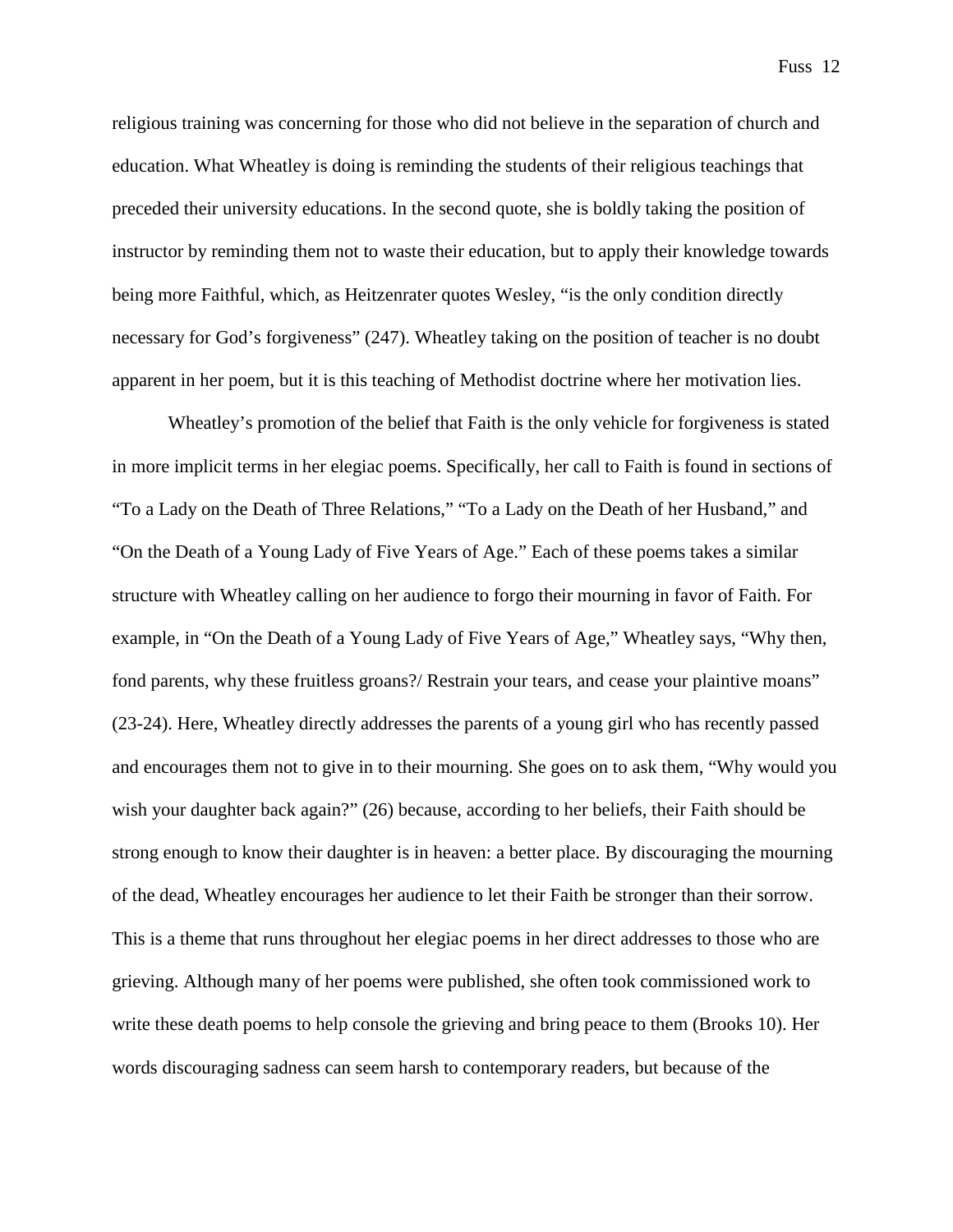religious training was concerning for those who did not believe in the separation of church and education. What Wheatley is doing is reminding the students of their religious teachings that preceded their university educations. In the second quote, she is boldly taking the position of instructor by reminding them not to waste their education, but to apply their knowledge towards being more Faithful, which, as Heitzenrater quotes Wesley, "is the only condition directly necessary for God's forgiveness" (247). Wheatley taking on the position of teacher is no doubt apparent in her poem, but it is this teaching of Methodist doctrine where her motivation lies.

Wheatley's promotion of the belief that Faith is the only vehicle for forgiveness is stated in more implicit terms in her elegiac poems. Specifically, her call to Faith is found in sections of "To a Lady on the Death of Three Relations," "To a Lady on the Death of her Husband," and "On the Death of a Young Lady of Five Years of Age." Each of these poems takes a similar structure with Wheatley calling on her audience to forgo their mourning in favor of Faith. For example, in "On the Death of a Young Lady of Five Years of Age," Wheatley says, "Why then, fond parents, why these fruitless groans?/ Restrain your tears, and cease your plaintive moans" (23-24). Here, Wheatley directly addresses the parents of a young girl who has recently passed and encourages them not to give in to their mourning. She goes on to ask them, "Why would you wish your daughter back again?" (26) because, according to her beliefs, their Faith should be strong enough to know their daughter is in heaven: a better place. By discouraging the mourning of the dead, Wheatley encourages her audience to let their Faith be stronger than their sorrow. This is a theme that runs throughout her elegiac poems in her direct addresses to those who are grieving. Although many of her poems were published, she often took commissioned work to write these death poems to help console the grieving and bring peace to them (Brooks 10). Her words discouraging sadness can seem harsh to contemporary readers, but because of the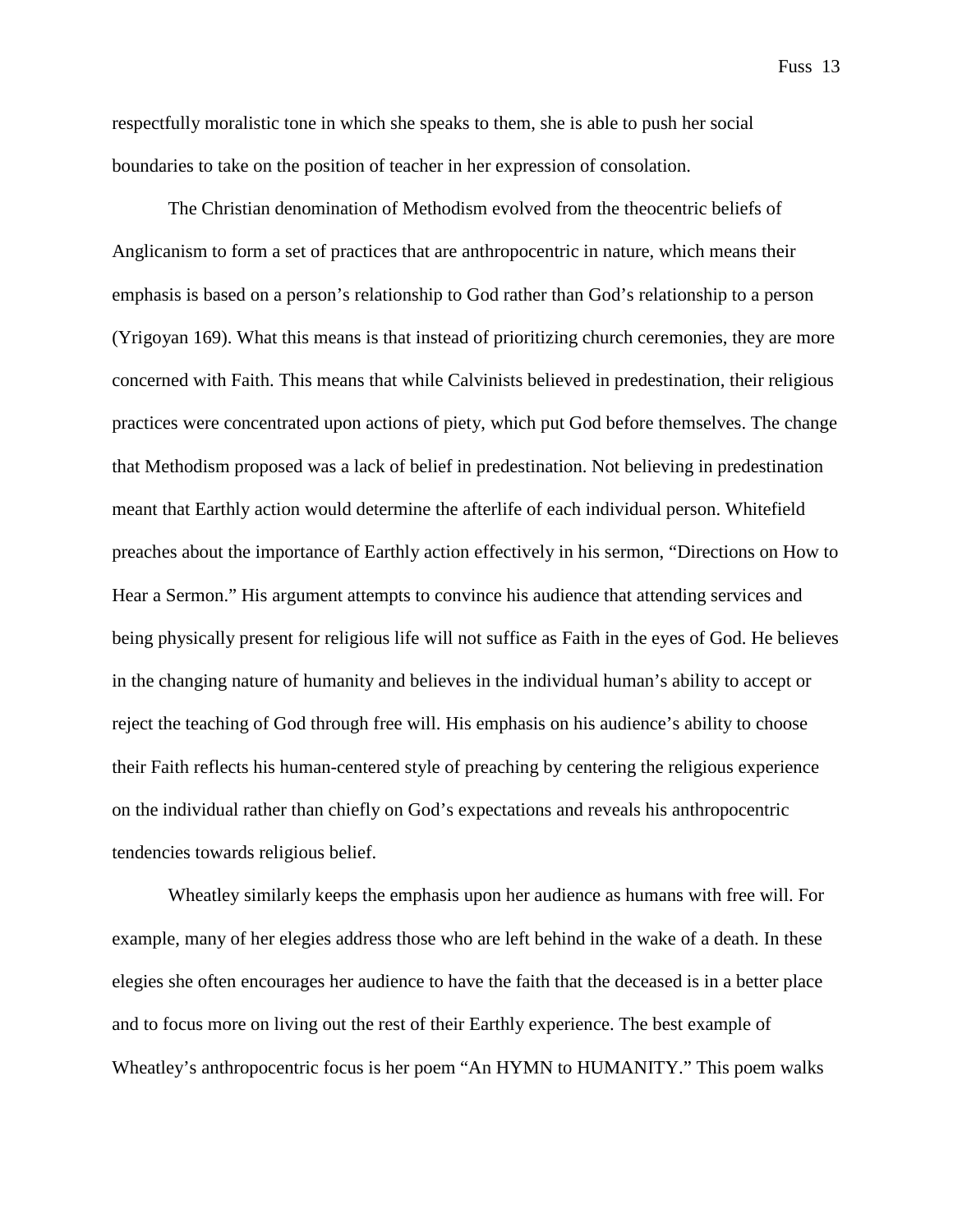respectfully moralistic tone in which she speaks to them, she is able to push her social boundaries to take on the position of teacher in her expression of consolation.

The Christian denomination of Methodism evolved from the theocentric beliefs of Anglicanism to form a set of practices that are anthropocentric in nature, which means their emphasis is based on a person's relationship to God rather than God's relationship to a person (Yrigoyan 169). What this means is that instead of prioritizing church ceremonies, they are more concerned with Faith. This means that while Calvinists believed in predestination, their religious practices were concentrated upon actions of piety, which put God before themselves. The change that Methodism proposed was a lack of belief in predestination. Not believing in predestination meant that Earthly action would determine the afterlife of each individual person. Whitefield preaches about the importance of Earthly action effectively in his sermon, "Directions on How to Hear a Sermon." His argument attempts to convince his audience that attending services and being physically present for religious life will not suffice as Faith in the eyes of God. He believes in the changing nature of humanity and believes in the individual human's ability to accept or reject the teaching of God through free will. His emphasis on his audience's ability to choose their Faith reflects his human-centered style of preaching by centering the religious experience on the individual rather than chiefly on God's expectations and reveals his anthropocentric tendencies towards religious belief.

Wheatley similarly keeps the emphasis upon her audience as humans with free will. For example, many of her elegies address those who are left behind in the wake of a death. In these elegies she often encourages her audience to have the faith that the deceased is in a better place and to focus more on living out the rest of their Earthly experience. The best example of Wheatley's anthropocentric focus is her poem "An HYMN to HUMANITY." This poem walks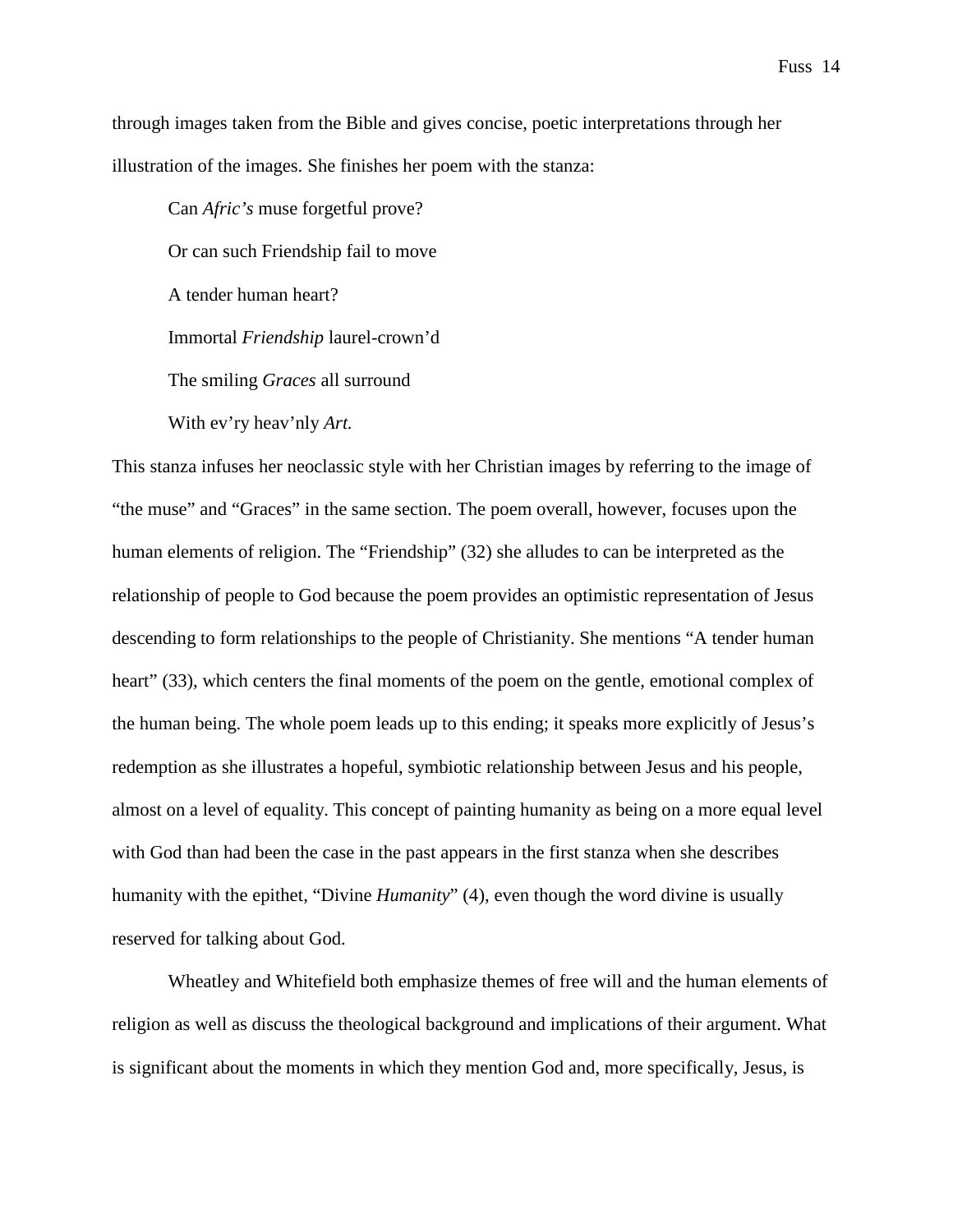through images taken from the Bible and gives concise, poetic interpretations through her illustration of the images. She finishes her poem with the stanza:

Can *Afric's* muse forgetful prove? Or can such Friendship fail to move A tender human heart? Immortal *Friendship* laurel-crown'd The smiling *Graces* all surround With ev'ry heav'nly *Art.*

This stanza infuses her neoclassic style with her Christian images by referring to the image of "the muse" and "Graces" in the same section. The poem overall, however, focuses upon the human elements of religion. The "Friendship" (32) she alludes to can be interpreted as the relationship of people to God because the poem provides an optimistic representation of Jesus descending to form relationships to the people of Christianity. She mentions "A tender human heart" (33), which centers the final moments of the poem on the gentle, emotional complex of the human being. The whole poem leads up to this ending; it speaks more explicitly of Jesus's redemption as she illustrates a hopeful, symbiotic relationship between Jesus and his people, almost on a level of equality. This concept of painting humanity as being on a more equal level with God than had been the case in the past appears in the first stanza when she describes humanity with the epithet, "Divine *Humanity*" (4), even though the word divine is usually reserved for talking about God.

Wheatley and Whitefield both emphasize themes of free will and the human elements of religion as well as discuss the theological background and implications of their argument. What is significant about the moments in which they mention God and, more specifically, Jesus, is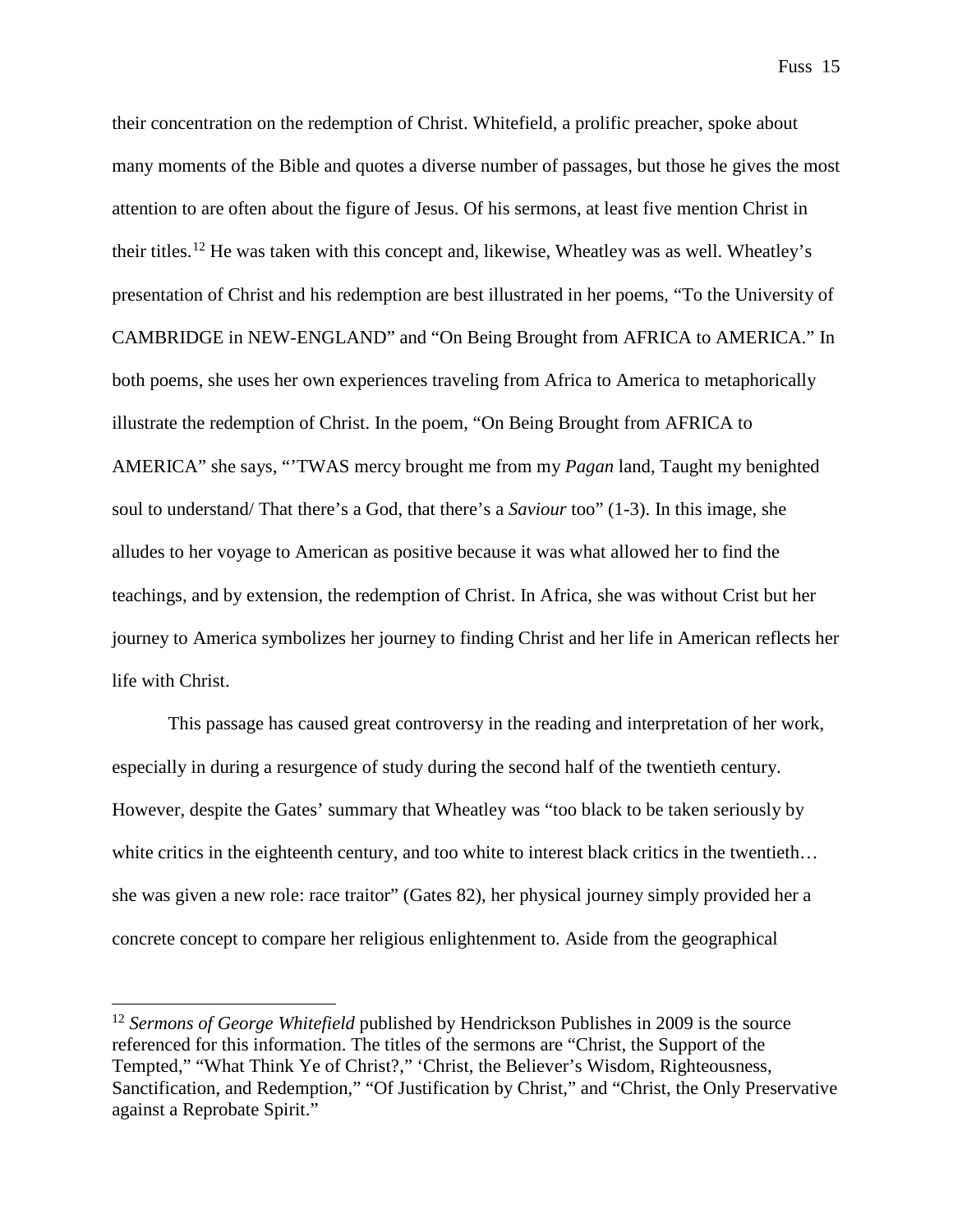their concentration on the redemption of Christ. Whitefield, a prolific preacher, spoke about many moments of the Bible and quotes a diverse number of passages, but those he gives the most attention to are often about the figure of Jesus. Of his sermons, at least five mention Christ in their titles.<sup>[12](#page-16-0)</sup> He was taken with this concept and, likewise, Wheatley was as well. Wheatley's presentation of Christ and his redemption are best illustrated in her poems, "To the University of CAMBRIDGE in NEW-ENGLAND" and "On Being Brought from AFRICA to AMERICA." In both poems, she uses her own experiences traveling from Africa to America to metaphorically illustrate the redemption of Christ. In the poem, "On Being Brought from AFRICA to AMERICA" she says, "'TWAS mercy brought me from my *Pagan* land, Taught my benighted soul to understand/ That there's a God, that there's a *Saviour* too" (1-3). In this image, she alludes to her voyage to American as positive because it was what allowed her to find the teachings, and by extension, the redemption of Christ. In Africa, she was without Crist but her journey to America symbolizes her journey to finding Christ and her life in American reflects her life with Christ.

This passage has caused great controversy in the reading and interpretation of her work, especially in during a resurgence of study during the second half of the twentieth century. However, despite the Gates' summary that Wheatley was "too black to be taken seriously by white critics in the eighteenth century, and too white to interest black critics in the twentieth... she was given a new role: race traitor" (Gates 82), her physical journey simply provided her a concrete concept to compare her religious enlightenment to. Aside from the geographical

<span id="page-16-0"></span><sup>&</sup>lt;sup>12</sup> *Sermons of George Whitefield* published by Hendrickson Publishes in 2009 is the source referenced for this information. The titles of the sermons are "Christ, the Support of the Tempted," "What Think Ye of Christ?," 'Christ, the Believer's Wisdom, Righteousness, Sanctification, and Redemption," "Of Justification by Christ," and "Christ, the Only Preservative against a Reprobate Spirit."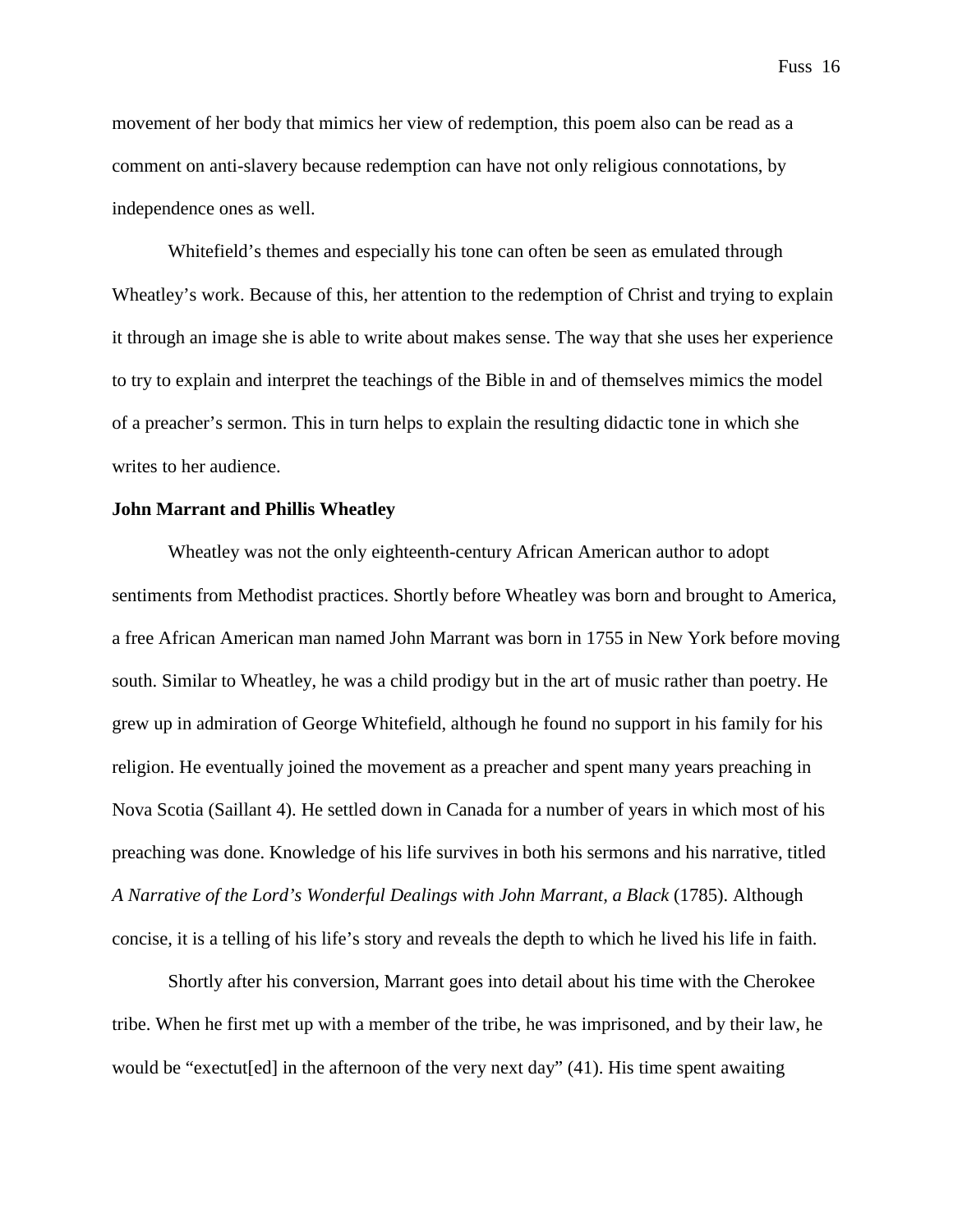movement of her body that mimics her view of redemption, this poem also can be read as a comment on anti-slavery because redemption can have not only religious connotations, by independence ones as well.

Whitefield's themes and especially his tone can often be seen as emulated through Wheatley's work. Because of this, her attention to the redemption of Christ and trying to explain it through an image she is able to write about makes sense. The way that she uses her experience to try to explain and interpret the teachings of the Bible in and of themselves mimics the model of a preacher's sermon. This in turn helps to explain the resulting didactic tone in which she writes to her audience.

# **John Marrant and Phillis Wheatley**

Wheatley was not the only eighteenth-century African American author to adopt sentiments from Methodist practices. Shortly before Wheatley was born and brought to America, a free African American man named John Marrant was born in 1755 in New York before moving south. Similar to Wheatley, he was a child prodigy but in the art of music rather than poetry. He grew up in admiration of George Whitefield, although he found no support in his family for his religion. He eventually joined the movement as a preacher and spent many years preaching in Nova Scotia (Saillant 4). He settled down in Canada for a number of years in which most of his preaching was done. Knowledge of his life survives in both his sermons and his narrative, titled *A Narrative of the Lord's Wonderful Dealings with John Marrant, a Black* (1785). Although concise, it is a telling of his life's story and reveals the depth to which he lived his life in faith.

Shortly after his conversion, Marrant goes into detail about his time with the Cherokee tribe. When he first met up with a member of the tribe, he was imprisoned, and by their law, he would be "exectut[ed] in the afternoon of the very next day" (41). His time spent awaiting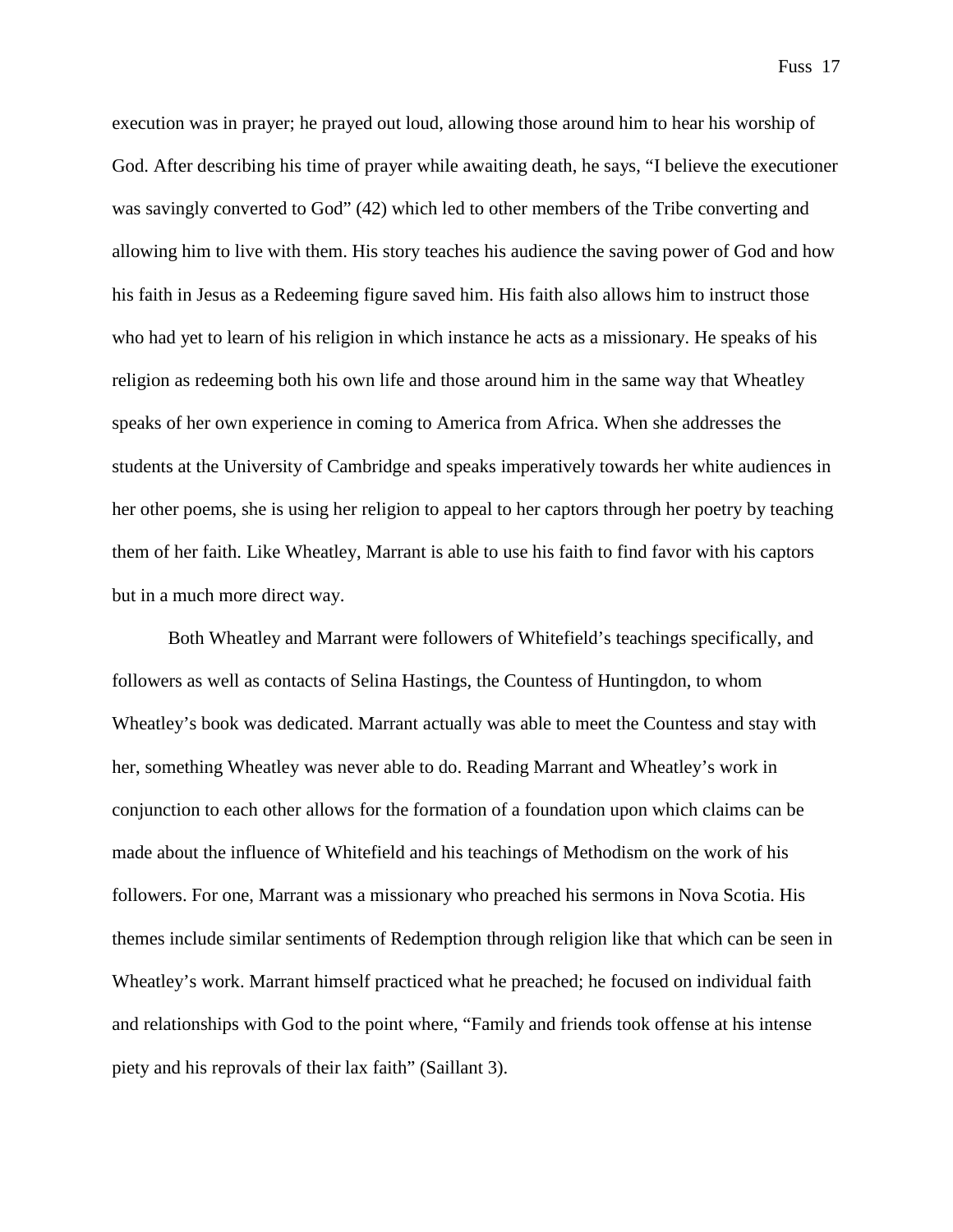execution was in prayer; he prayed out loud, allowing those around him to hear his worship of God. After describing his time of prayer while awaiting death, he says, "I believe the executioner was savingly converted to God" (42) which led to other members of the Tribe converting and allowing him to live with them. His story teaches his audience the saving power of God and how his faith in Jesus as a Redeeming figure saved him. His faith also allows him to instruct those who had yet to learn of his religion in which instance he acts as a missionary. He speaks of his religion as redeeming both his own life and those around him in the same way that Wheatley speaks of her own experience in coming to America from Africa. When she addresses the students at the University of Cambridge and speaks imperatively towards her white audiences in her other poems, she is using her religion to appeal to her captors through her poetry by teaching them of her faith. Like Wheatley, Marrant is able to use his faith to find favor with his captors but in a much more direct way.

Both Wheatley and Marrant were followers of Whitefield's teachings specifically, and followers as well as contacts of Selina Hastings, the Countess of Huntingdon, to whom Wheatley's book was dedicated. Marrant actually was able to meet the Countess and stay with her, something Wheatley was never able to do. Reading Marrant and Wheatley's work in conjunction to each other allows for the formation of a foundation upon which claims can be made about the influence of Whitefield and his teachings of Methodism on the work of his followers. For one, Marrant was a missionary who preached his sermons in Nova Scotia. His themes include similar sentiments of Redemption through religion like that which can be seen in Wheatley's work. Marrant himself practiced what he preached; he focused on individual faith and relationships with God to the point where, "Family and friends took offense at his intense piety and his reprovals of their lax faith" (Saillant 3).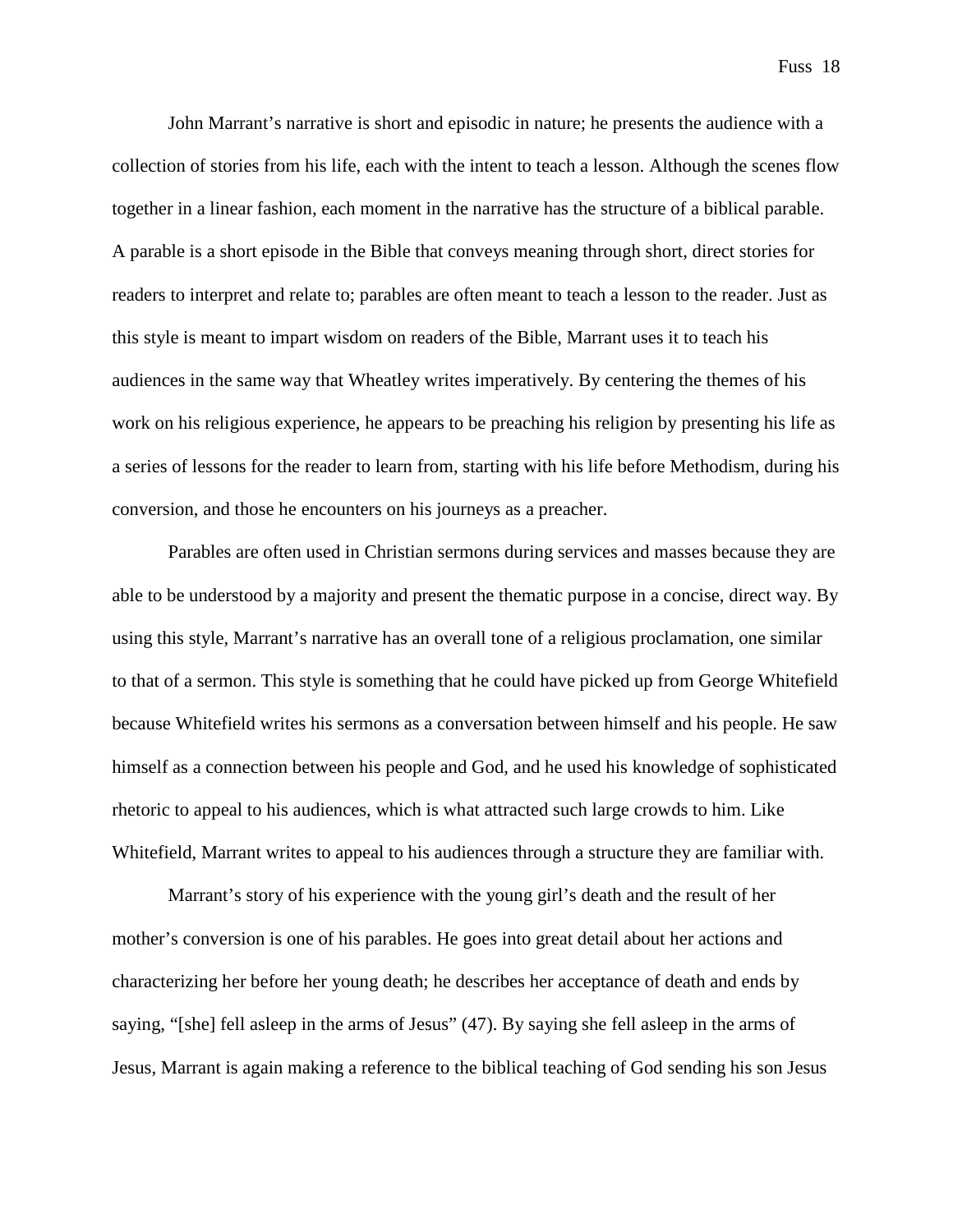John Marrant's narrative is short and episodic in nature; he presents the audience with a collection of stories from his life, each with the intent to teach a lesson. Although the scenes flow together in a linear fashion, each moment in the narrative has the structure of a biblical parable. A parable is a short episode in the Bible that conveys meaning through short, direct stories for readers to interpret and relate to; parables are often meant to teach a lesson to the reader. Just as this style is meant to impart wisdom on readers of the Bible, Marrant uses it to teach his audiences in the same way that Wheatley writes imperatively. By centering the themes of his work on his religious experience, he appears to be preaching his religion by presenting his life as a series of lessons for the reader to learn from, starting with his life before Methodism, during his conversion, and those he encounters on his journeys as a preacher.

Parables are often used in Christian sermons during services and masses because they are able to be understood by a majority and present the thematic purpose in a concise, direct way. By using this style, Marrant's narrative has an overall tone of a religious proclamation, one similar to that of a sermon. This style is something that he could have picked up from George Whitefield because Whitefield writes his sermons as a conversation between himself and his people. He saw himself as a connection between his people and God, and he used his knowledge of sophisticated rhetoric to appeal to his audiences, which is what attracted such large crowds to him. Like Whitefield, Marrant writes to appeal to his audiences through a structure they are familiar with.

Marrant's story of his experience with the young girl's death and the result of her mother's conversion is one of his parables. He goes into great detail about her actions and characterizing her before her young death; he describes her acceptance of death and ends by saying, "[she] fell asleep in the arms of Jesus" (47). By saying she fell asleep in the arms of Jesus, Marrant is again making a reference to the biblical teaching of God sending his son Jesus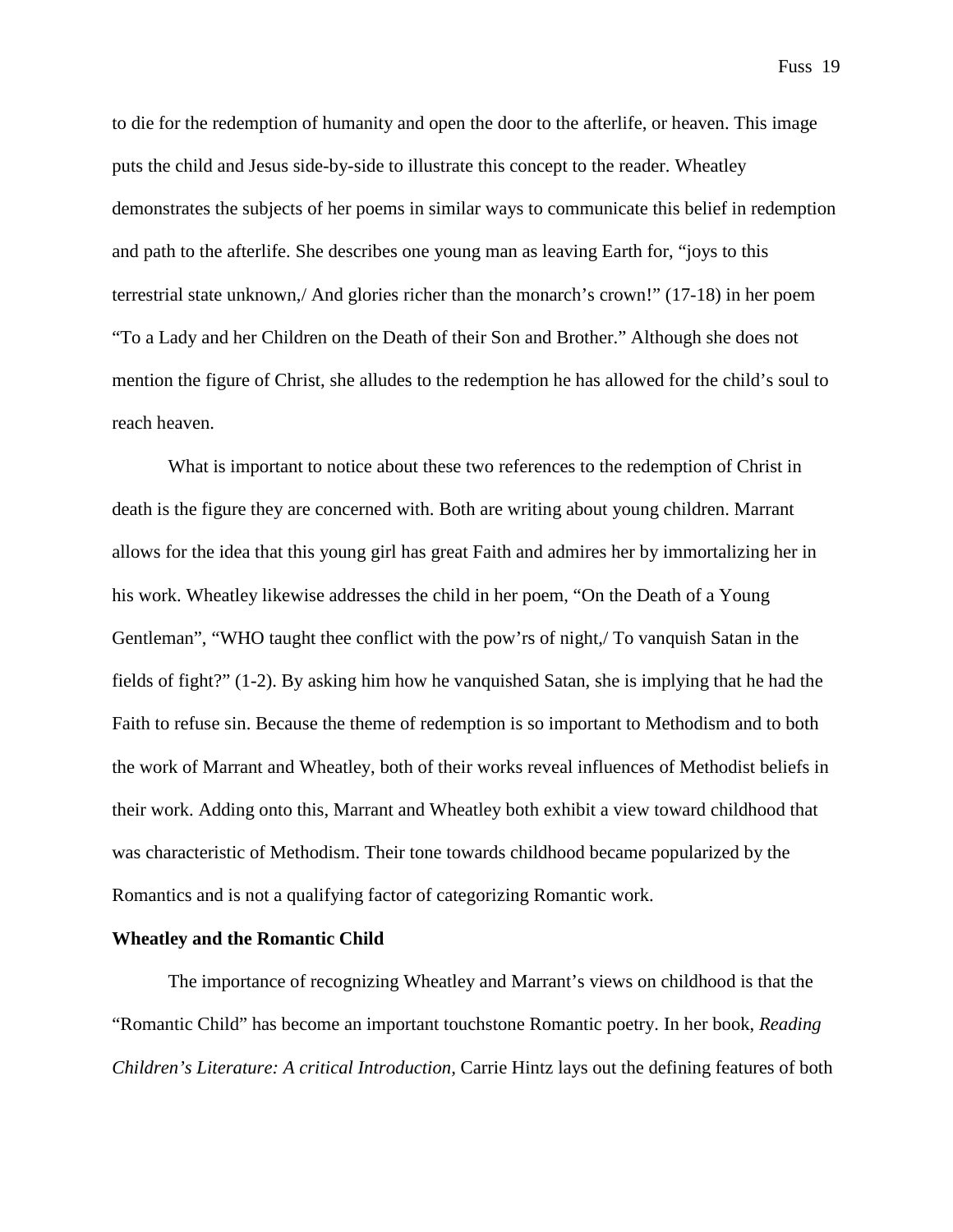to die for the redemption of humanity and open the door to the afterlife, or heaven. This image puts the child and Jesus side-by-side to illustrate this concept to the reader. Wheatley demonstrates the subjects of her poems in similar ways to communicate this belief in redemption and path to the afterlife. She describes one young man as leaving Earth for, "joys to this terrestrial state unknown,/ And glories richer than the monarch's crown!" (17-18) in her poem "To a Lady and her Children on the Death of their Son and Brother." Although she does not mention the figure of Christ, she alludes to the redemption he has allowed for the child's soul to reach heaven.

What is important to notice about these two references to the redemption of Christ in death is the figure they are concerned with. Both are writing about young children. Marrant allows for the idea that this young girl has great Faith and admires her by immortalizing her in his work. Wheatley likewise addresses the child in her poem, "On the Death of a Young Gentleman", "WHO taught thee conflict with the pow'rs of night,/ To vanquish Satan in the fields of fight?" (1-2). By asking him how he vanquished Satan, she is implying that he had the Faith to refuse sin. Because the theme of redemption is so important to Methodism and to both the work of Marrant and Wheatley, both of their works reveal influences of Methodist beliefs in their work. Adding onto this, Marrant and Wheatley both exhibit a view toward childhood that was characteristic of Methodism. Their tone towards childhood became popularized by the Romantics and is not a qualifying factor of categorizing Romantic work.

#### **Wheatley and the Romantic Child**

The importance of recognizing Wheatley and Marrant's views on childhood is that the "Romantic Child" has become an important touchstone Romantic poetry. In her book, *Reading Children's Literature: A critical Introduction,* Carrie Hintz lays out the defining features of both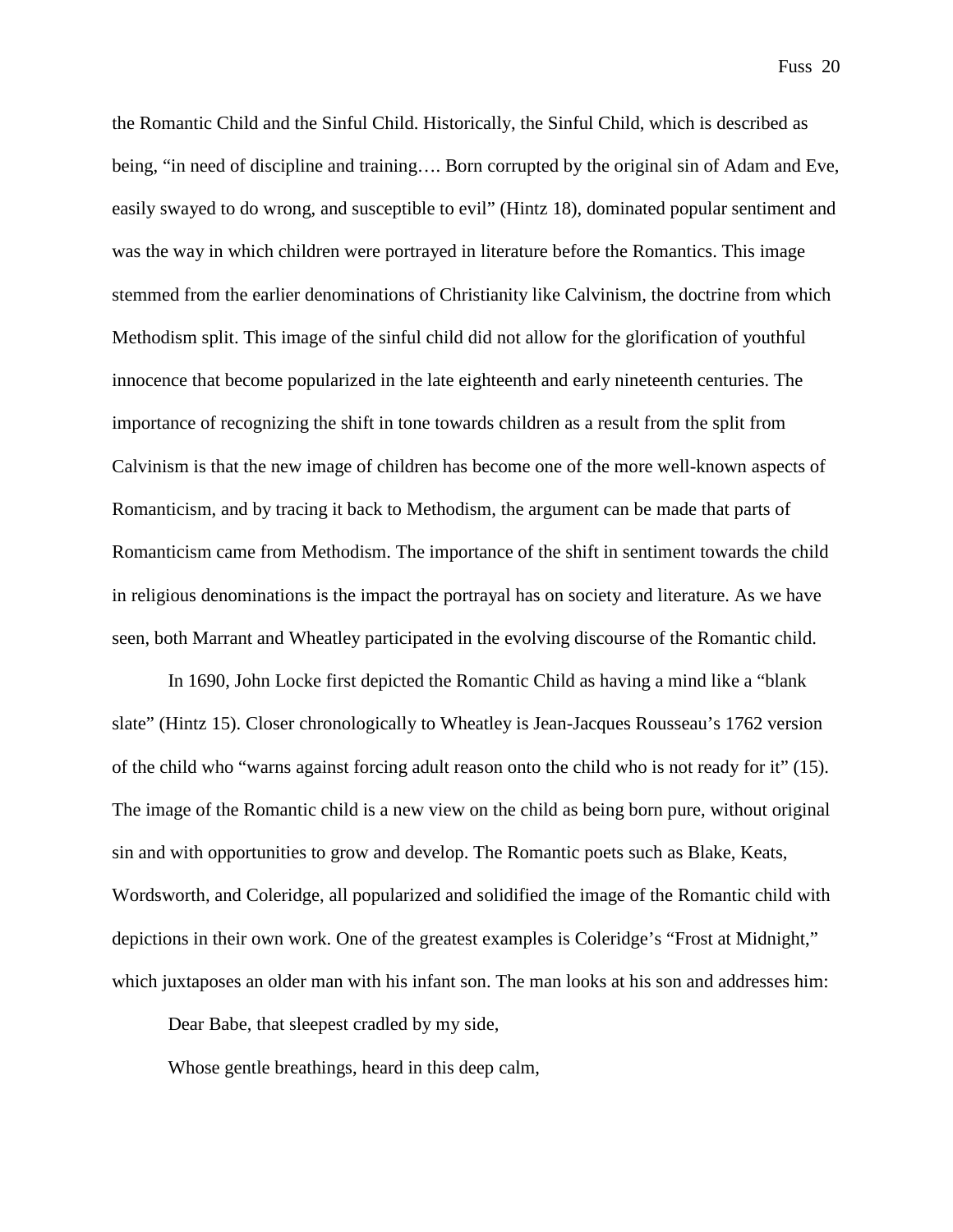the Romantic Child and the Sinful Child. Historically, the Sinful Child, which is described as being, "in need of discipline and training…. Born corrupted by the original sin of Adam and Eve, easily swayed to do wrong, and susceptible to evil" (Hintz 18), dominated popular sentiment and was the way in which children were portrayed in literature before the Romantics. This image stemmed from the earlier denominations of Christianity like Calvinism, the doctrine from which Methodism split. This image of the sinful child did not allow for the glorification of youthful innocence that become popularized in the late eighteenth and early nineteenth centuries. The importance of recognizing the shift in tone towards children as a result from the split from Calvinism is that the new image of children has become one of the more well-known aspects of Romanticism, and by tracing it back to Methodism, the argument can be made that parts of Romanticism came from Methodism. The importance of the shift in sentiment towards the child in religious denominations is the impact the portrayal has on society and literature. As we have seen, both Marrant and Wheatley participated in the evolving discourse of the Romantic child.

In 1690, John Locke first depicted the Romantic Child as having a mind like a "blank slate" (Hintz 15). Closer chronologically to Wheatley is Jean-Jacques Rousseau's 1762 version of the child who "warns against forcing adult reason onto the child who is not ready for it" (15). The image of the Romantic child is a new view on the child as being born pure, without original sin and with opportunities to grow and develop. The Romantic poets such as Blake, Keats, Wordsworth, and Coleridge, all popularized and solidified the image of the Romantic child with depictions in their own work. One of the greatest examples is Coleridge's "Frost at Midnight," which juxtaposes an older man with his infant son. The man looks at his son and addresses him:

Dear Babe, that sleepest cradled by my side,

Whose gentle breathings, heard in this deep calm,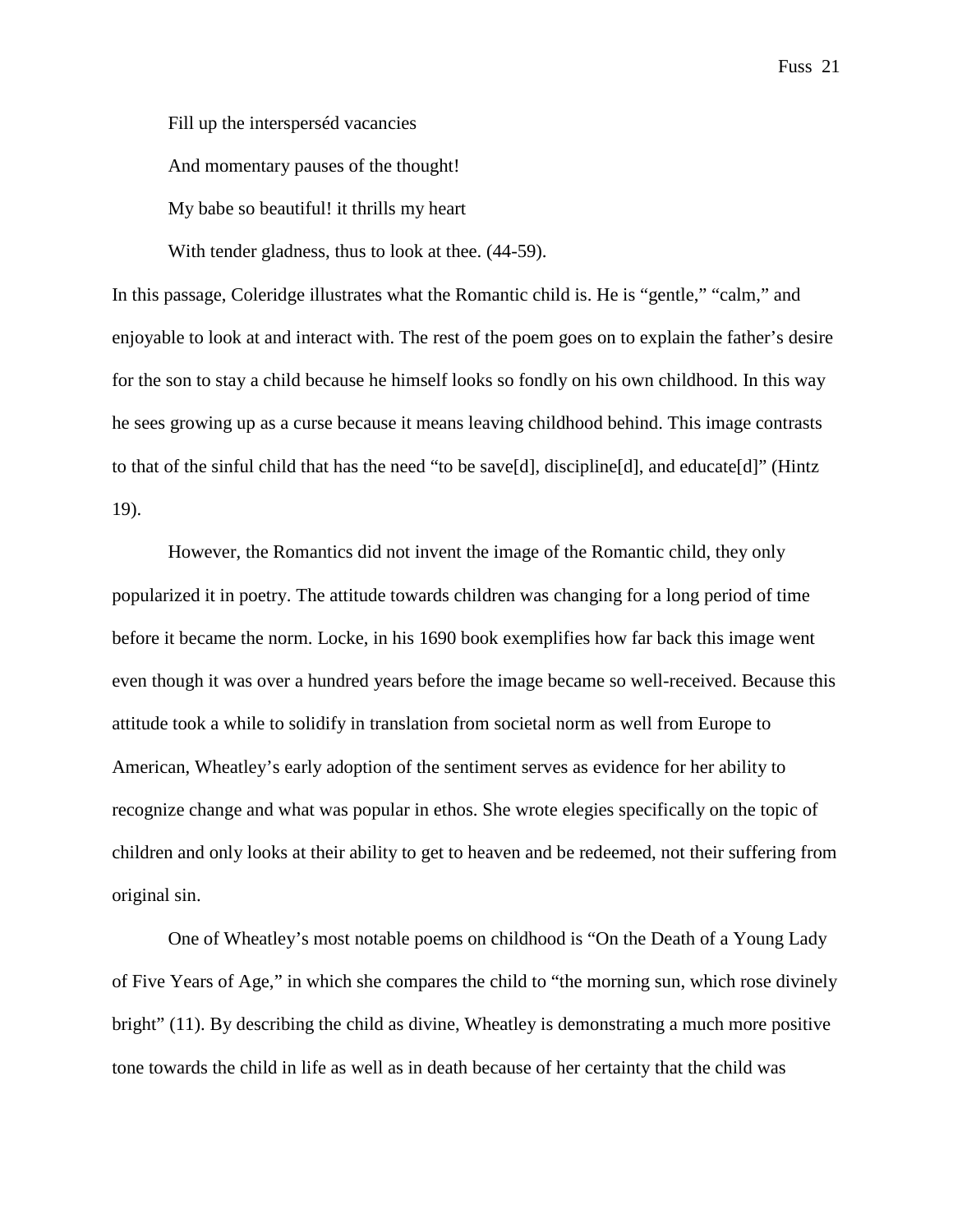Fill up the intersperséd vacancies

And momentary pauses of the thought!

My babe so beautiful! it thrills my heart

With tender gladness, thus to look at thee. (44-59).

In this passage, Coleridge illustrates what the Romantic child is. He is "gentle," "calm," and enjoyable to look at and interact with. The rest of the poem goes on to explain the father's desire for the son to stay a child because he himself looks so fondly on his own childhood. In this way he sees growing up as a curse because it means leaving childhood behind. This image contrasts to that of the sinful child that has the need "to be save[d], discipline[d], and educate[d]" (Hintz 19).

However, the Romantics did not invent the image of the Romantic child, they only popularized it in poetry. The attitude towards children was changing for a long period of time before it became the norm. Locke, in his 1690 book exemplifies how far back this image went even though it was over a hundred years before the image became so well-received. Because this attitude took a while to solidify in translation from societal norm as well from Europe to American, Wheatley's early adoption of the sentiment serves as evidence for her ability to recognize change and what was popular in ethos. She wrote elegies specifically on the topic of children and only looks at their ability to get to heaven and be redeemed, not their suffering from original sin.

One of Wheatley's most notable poems on childhood is "On the Death of a Young Lady of Five Years of Age," in which she compares the child to "the morning sun, which rose divinely bright" (11). By describing the child as divine, Wheatley is demonstrating a much more positive tone towards the child in life as well as in death because of her certainty that the child was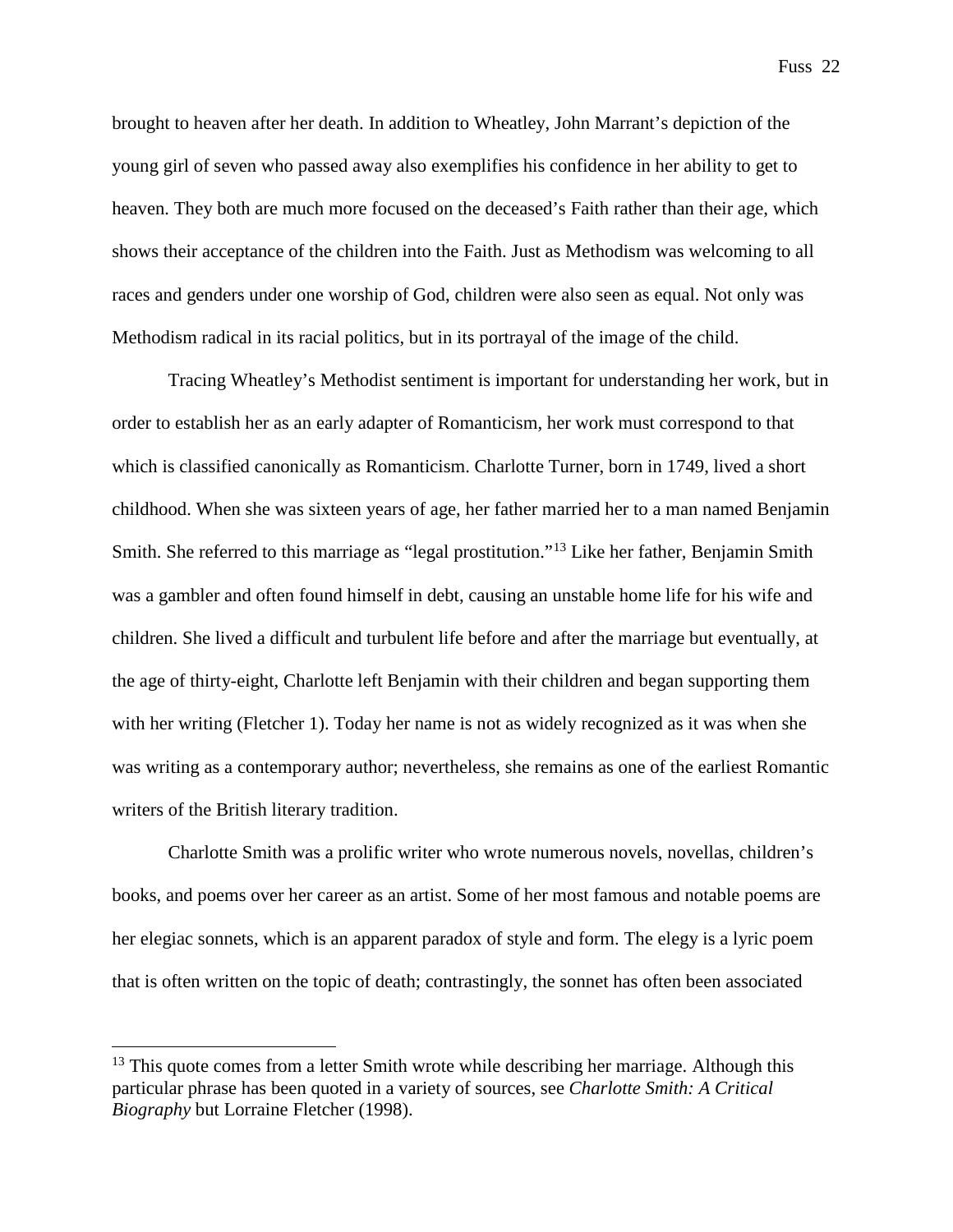brought to heaven after her death. In addition to Wheatley, John Marrant's depiction of the young girl of seven who passed away also exemplifies his confidence in her ability to get to heaven. They both are much more focused on the deceased's Faith rather than their age, which shows their acceptance of the children into the Faith. Just as Methodism was welcoming to all races and genders under one worship of God, children were also seen as equal. Not only was Methodism radical in its racial politics, but in its portrayal of the image of the child.

Tracing Wheatley's Methodist sentiment is important for understanding her work, but in order to establish her as an early adapter of Romanticism, her work must correspond to that which is classified canonically as Romanticism. Charlotte Turner, born in 1749, lived a short childhood. When she was sixteen years of age, her father married her to a man named Benjamin Smith. She referred to this marriage as "legal prostitution."[13](#page-23-0) Like her father, Benjamin Smith was a gambler and often found himself in debt, causing an unstable home life for his wife and children. She lived a difficult and turbulent life before and after the marriage but eventually, at the age of thirty-eight, Charlotte left Benjamin with their children and began supporting them with her writing (Fletcher 1). Today her name is not as widely recognized as it was when she was writing as a contemporary author; nevertheless, she remains as one of the earliest Romantic writers of the British literary tradition.

Charlotte Smith was a prolific writer who wrote numerous novels, novellas, children's books, and poems over her career as an artist. Some of her most famous and notable poems are her elegiac sonnets, which is an apparent paradox of style and form. The elegy is a lyric poem that is often written on the topic of death; contrastingly, the sonnet has often been associated

<span id="page-23-0"></span> $13$  This quote comes from a letter Smith wrote while describing her marriage. Although this particular phrase has been quoted in a variety of sources, see *Charlotte Smith: A Critical Biography* but Lorraine Fletcher (1998).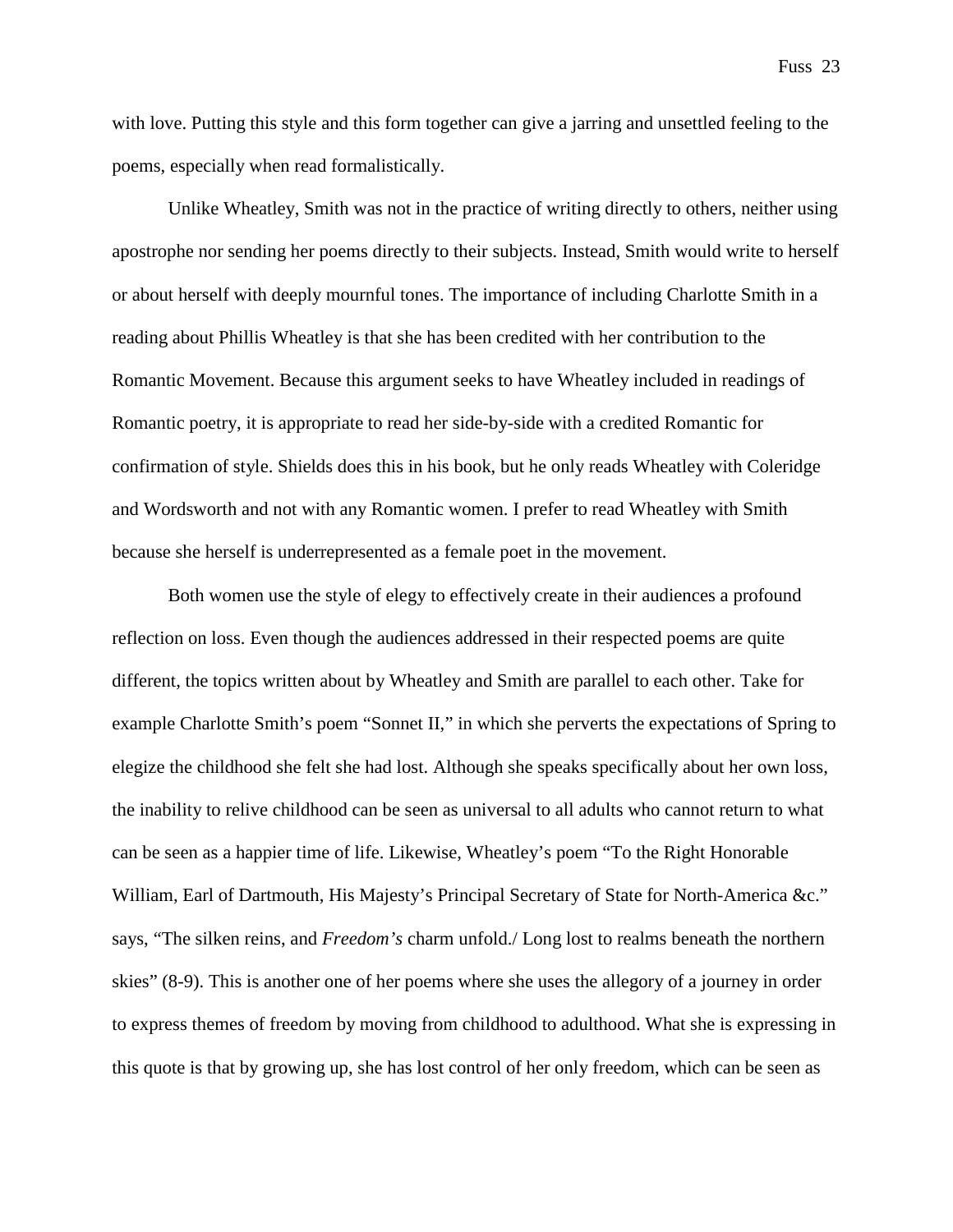with love. Putting this style and this form together can give a jarring and unsettled feeling to the poems, especially when read formalistically.

Unlike Wheatley, Smith was not in the practice of writing directly to others, neither using apostrophe nor sending her poems directly to their subjects. Instead, Smith would write to herself or about herself with deeply mournful tones. The importance of including Charlotte Smith in a reading about Phillis Wheatley is that she has been credited with her contribution to the Romantic Movement. Because this argument seeks to have Wheatley included in readings of Romantic poetry, it is appropriate to read her side-by-side with a credited Romantic for confirmation of style. Shields does this in his book, but he only reads Wheatley with Coleridge and Wordsworth and not with any Romantic women. I prefer to read Wheatley with Smith because she herself is underrepresented as a female poet in the movement.

Both women use the style of elegy to effectively create in their audiences a profound reflection on loss. Even though the audiences addressed in their respected poems are quite different, the topics written about by Wheatley and Smith are parallel to each other. Take for example Charlotte Smith's poem "Sonnet II," in which she perverts the expectations of Spring to elegize the childhood she felt she had lost. Although she speaks specifically about her own loss, the inability to relive childhood can be seen as universal to all adults who cannot return to what can be seen as a happier time of life. Likewise, Wheatley's poem "To the Right Honorable William, Earl of Dartmouth, His Majesty's Principal Secretary of State for North-America &c." says, "The silken reins, and *Freedom's* charm unfold./ Long lost to realms beneath the northern skies" (8-9). This is another one of her poems where she uses the allegory of a journey in order to express themes of freedom by moving from childhood to adulthood. What she is expressing in this quote is that by growing up, she has lost control of her only freedom, which can be seen as

Fuss 23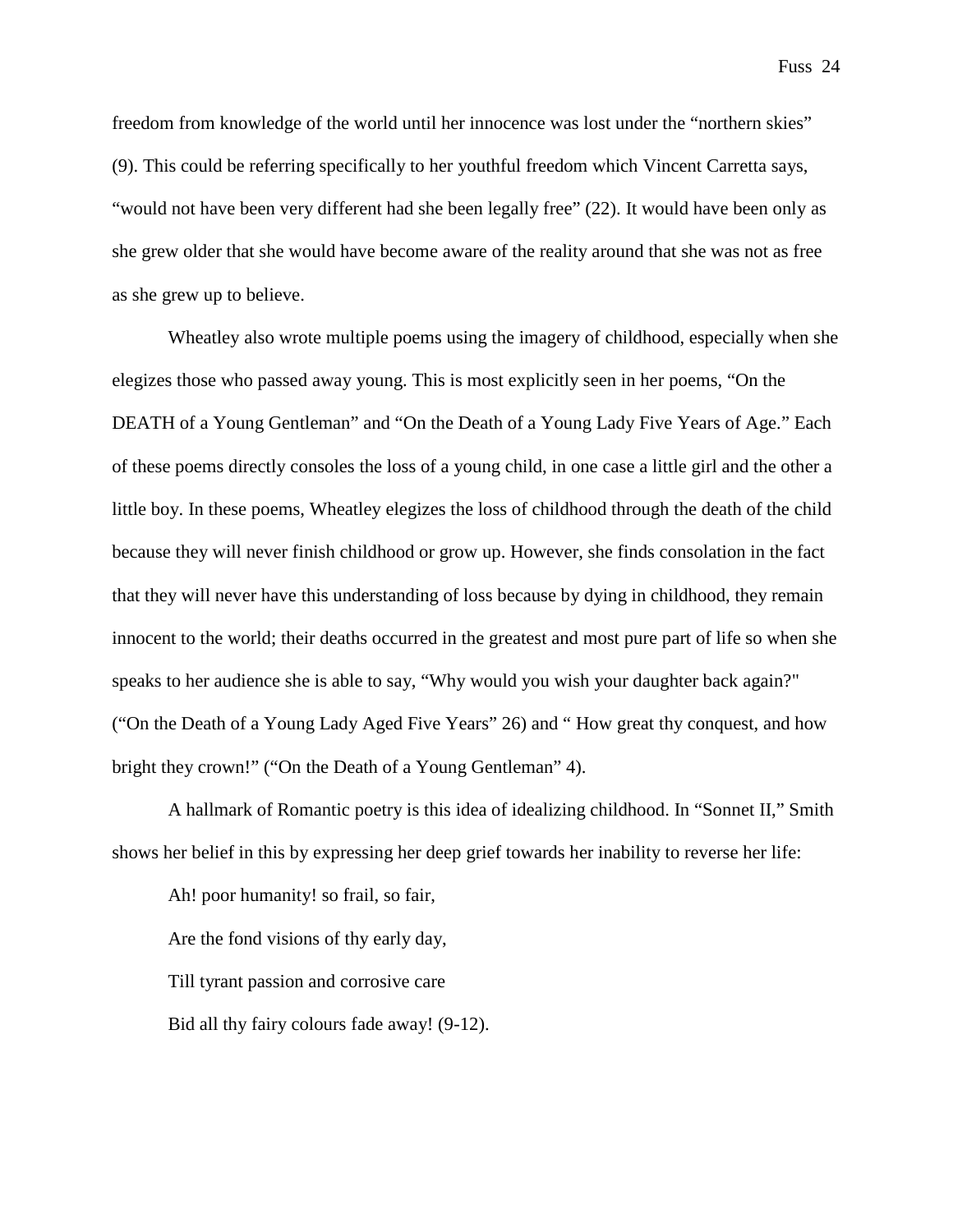freedom from knowledge of the world until her innocence was lost under the "northern skies" (9). This could be referring specifically to her youthful freedom which Vincent Carretta says, "would not have been very different had she been legally free" (22). It would have been only as she grew older that she would have become aware of the reality around that she was not as free as she grew up to believe.

Wheatley also wrote multiple poems using the imagery of childhood, especially when she elegizes those who passed away young. This is most explicitly seen in her poems, "On the DEATH of a Young Gentleman" and "On the Death of a Young Lady Five Years of Age." Each of these poems directly consoles the loss of a young child, in one case a little girl and the other a little boy. In these poems, Wheatley elegizes the loss of childhood through the death of the child because they will never finish childhood or grow up. However, she finds consolation in the fact that they will never have this understanding of loss because by dying in childhood, they remain innocent to the world; their deaths occurred in the greatest and most pure part of life so when she speaks to her audience she is able to say, "Why would you wish your daughter back again?" ("On the Death of a Young Lady Aged Five Years" 26) and " How great thy conquest, and how bright they crown!" ("On the Death of a Young Gentleman" 4).

A hallmark of Romantic poetry is this idea of idealizing childhood. In "Sonnet II," Smith shows her belief in this by expressing her deep grief towards her inability to reverse her life:

Ah! poor humanity! so frail, so fair, Are the fond visions of thy early day, Till tyrant passion and corrosive care Bid all thy fairy colours fade away! (9-12).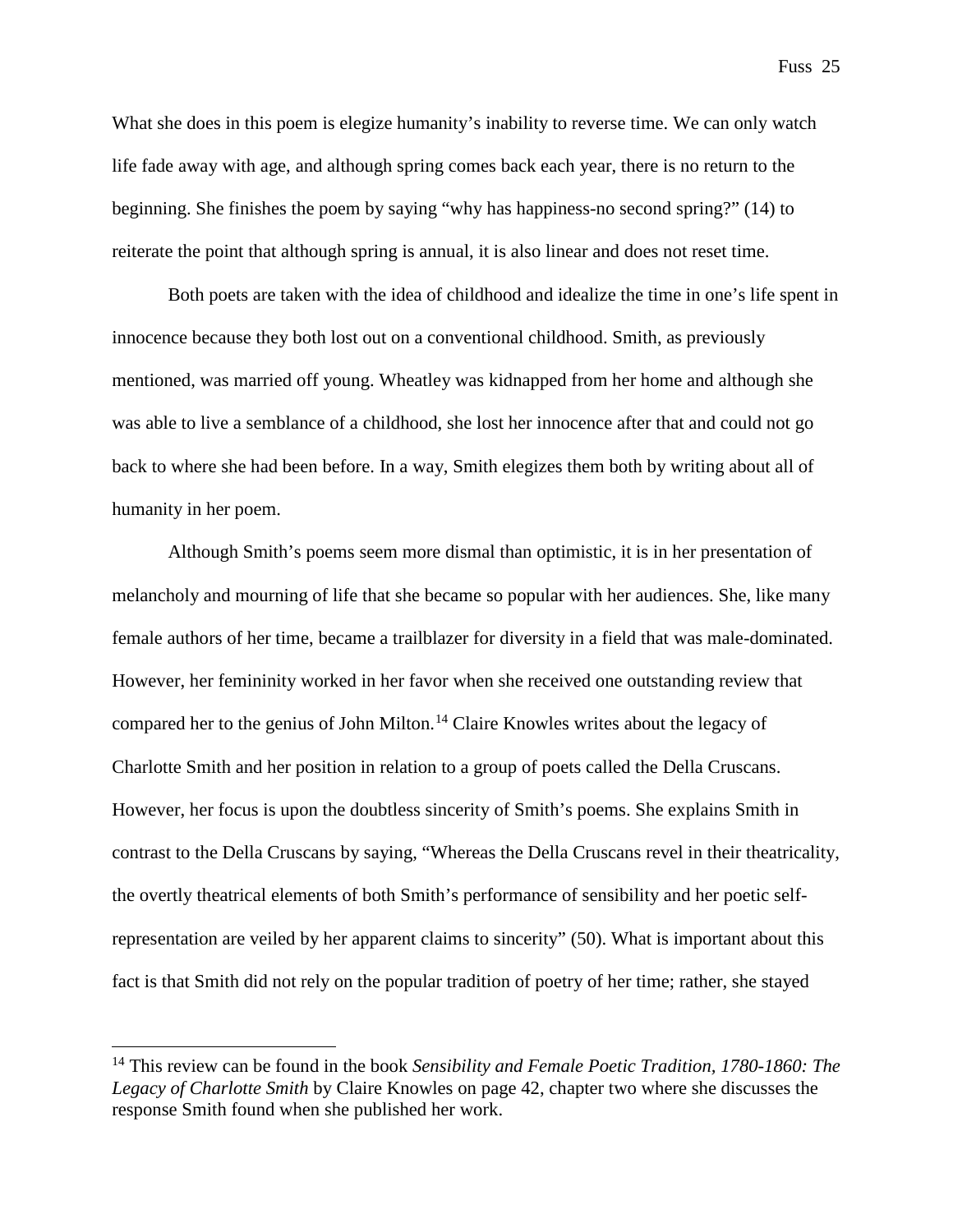What she does in this poem is elegize humanity's inability to reverse time. We can only watch life fade away with age, and although spring comes back each year, there is no return to the beginning. She finishes the poem by saying "why has happiness-no second spring?" (14) to reiterate the point that although spring is annual, it is also linear and does not reset time.

Both poets are taken with the idea of childhood and idealize the time in one's life spent in innocence because they both lost out on a conventional childhood. Smith, as previously mentioned, was married off young. Wheatley was kidnapped from her home and although she was able to live a semblance of a childhood, she lost her innocence after that and could not go back to where she had been before. In a way, Smith elegizes them both by writing about all of humanity in her poem.

Although Smith's poems seem more dismal than optimistic, it is in her presentation of melancholy and mourning of life that she became so popular with her audiences. She, like many female authors of her time, became a trailblazer for diversity in a field that was male-dominated. However, her femininity worked in her favor when she received one outstanding review that compared her to the genius of John Milton.<sup>[14](#page-26-0)</sup> Claire Knowles writes about the legacy of Charlotte Smith and her position in relation to a group of poets called the Della Cruscans. However, her focus is upon the doubtless sincerity of Smith's poems. She explains Smith in contrast to the Della Cruscans by saying, "Whereas the Della Cruscans revel in their theatricality, the overtly theatrical elements of both Smith's performance of sensibility and her poetic selfrepresentation are veiled by her apparent claims to sincerity" (50). What is important about this fact is that Smith did not rely on the popular tradition of poetry of her time; rather, she stayed

<span id="page-26-0"></span> <sup>14</sup> This review can be found in the book *Sensibility and Female Poetic Tradition, 1780-1860: The Legacy of Charlotte Smith* by Claire Knowles on page 42, chapter two where she discusses the response Smith found when she published her work.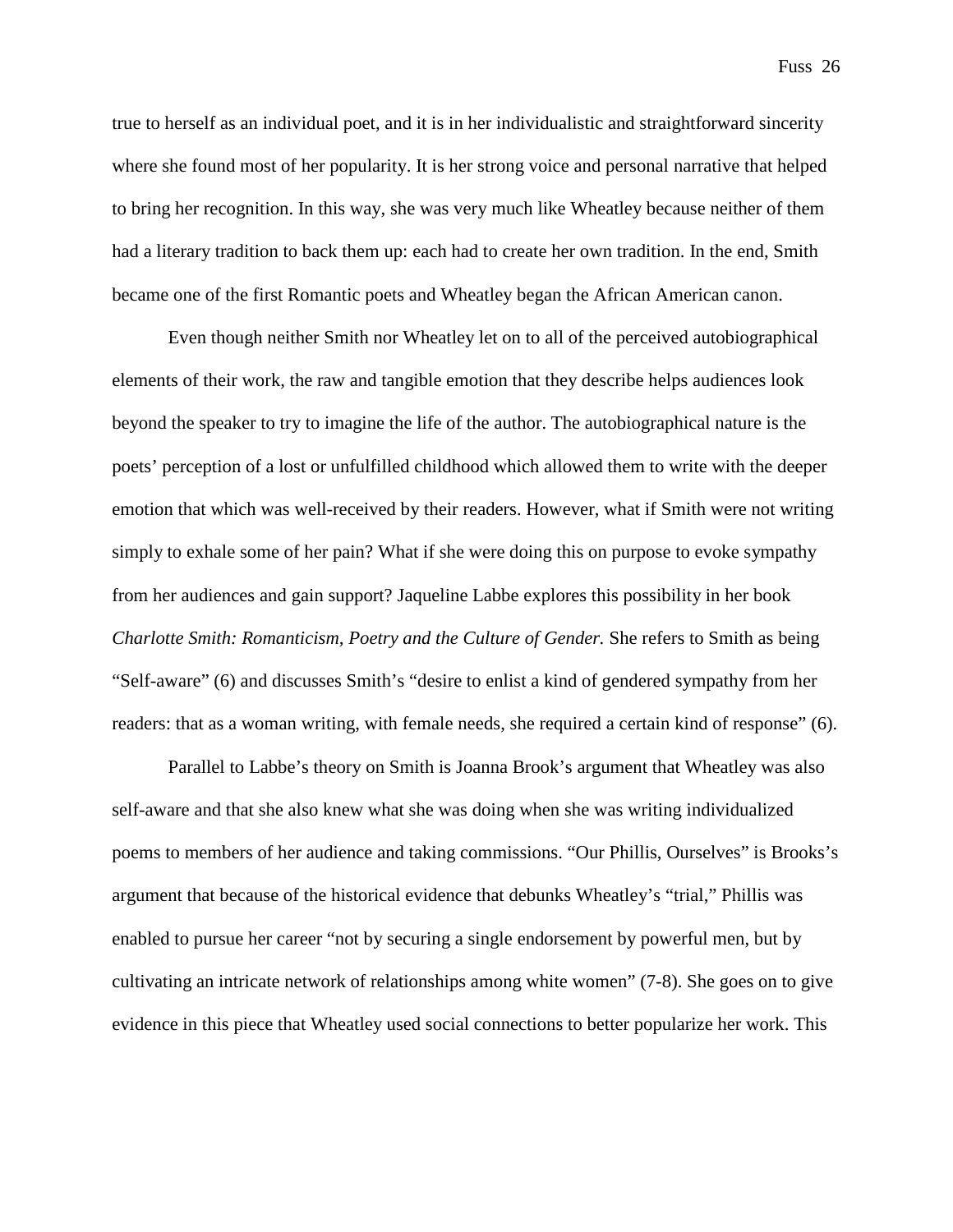true to herself as an individual poet, and it is in her individualistic and straightforward sincerity where she found most of her popularity. It is her strong voice and personal narrative that helped to bring her recognition. In this way, she was very much like Wheatley because neither of them had a literary tradition to back them up: each had to create her own tradition. In the end, Smith became one of the first Romantic poets and Wheatley began the African American canon.

Even though neither Smith nor Wheatley let on to all of the perceived autobiographical elements of their work, the raw and tangible emotion that they describe helps audiences look beyond the speaker to try to imagine the life of the author. The autobiographical nature is the poets' perception of a lost or unfulfilled childhood which allowed them to write with the deeper emotion that which was well-received by their readers. However, what if Smith were not writing simply to exhale some of her pain? What if she were doing this on purpose to evoke sympathy from her audiences and gain support? Jaqueline Labbe explores this possibility in her book *Charlotte Smith: Romanticism, Poetry and the Culture of Gender.* She refers to Smith as being "Self-aware" (6) and discusses Smith's "desire to enlist a kind of gendered sympathy from her readers: that as a woman writing, with female needs, she required a certain kind of response" (6).

Parallel to Labbe's theory on Smith is Joanna Brook's argument that Wheatley was also self-aware and that she also knew what she was doing when she was writing individualized poems to members of her audience and taking commissions. "Our Phillis, Ourselves" is Brooks's argument that because of the historical evidence that debunks Wheatley's "trial," Phillis was enabled to pursue her career "not by securing a single endorsement by powerful men, but by cultivating an intricate network of relationships among white women" (7-8). She goes on to give evidence in this piece that Wheatley used social connections to better popularize her work. This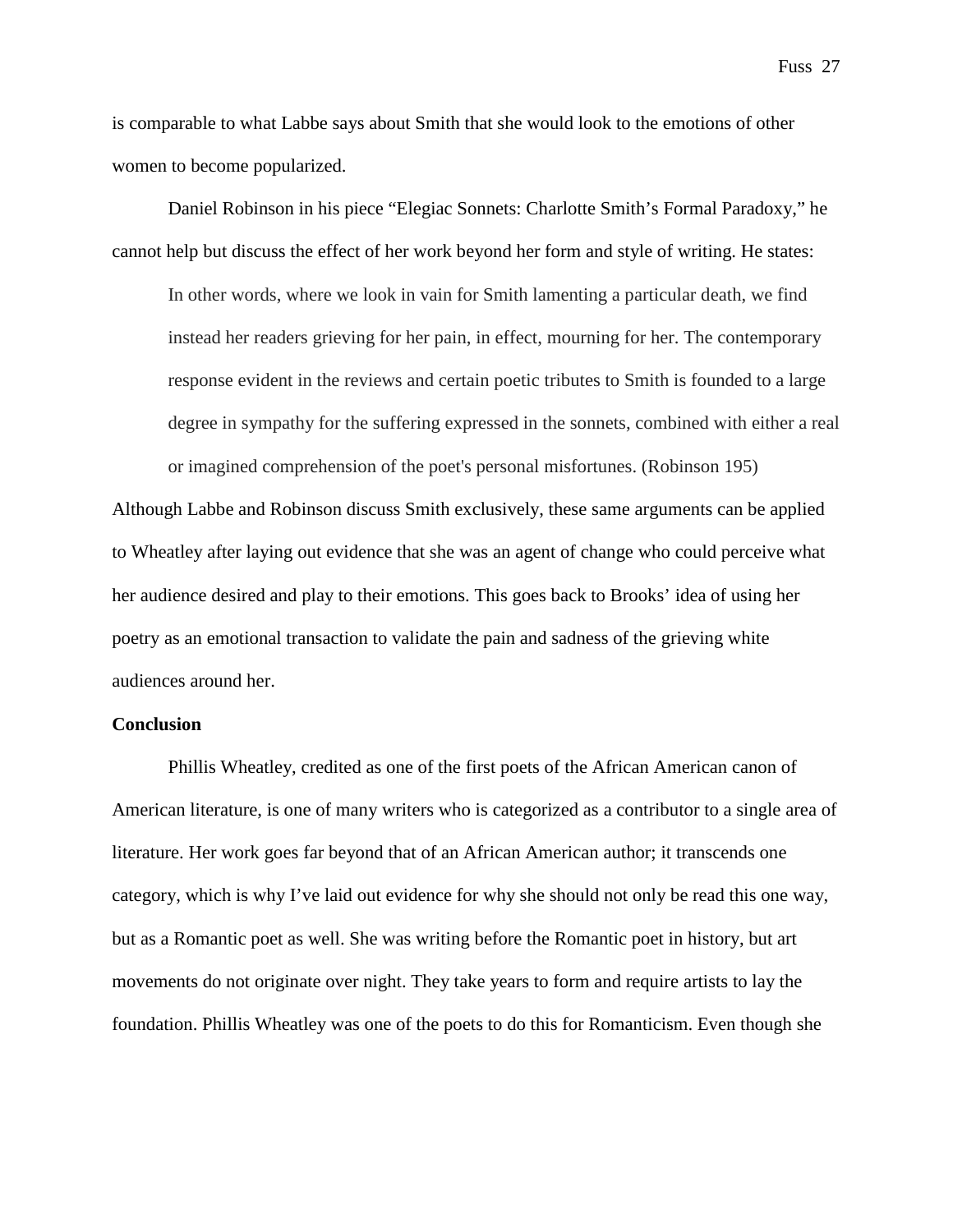is comparable to what Labbe says about Smith that she would look to the emotions of other women to become popularized.

Daniel Robinson in his piece "Elegiac Sonnets: Charlotte Smith's Formal Paradoxy," he cannot help but discuss the effect of her work beyond her form and style of writing. He states:

In other words, where we look in vain for Smith lamenting a particular death, we find instead her readers grieving for her pain, in effect, mourning for her. The contemporary response evident in the reviews and certain poetic tributes to Smith is founded to a large degree in sympathy for the suffering expressed in the sonnets, combined with either a real or imagined comprehension of the poet's personal misfortunes. (Robinson 195)

Although Labbe and Robinson discuss Smith exclusively, these same arguments can be applied to Wheatley after laying out evidence that she was an agent of change who could perceive what her audience desired and play to their emotions. This goes back to Brooks' idea of using her poetry as an emotional transaction to validate the pain and sadness of the grieving white audiences around her.

## **Conclusion**

Phillis Wheatley, credited as one of the first poets of the African American canon of American literature, is one of many writers who is categorized as a contributor to a single area of literature. Her work goes far beyond that of an African American author; it transcends one category, which is why I've laid out evidence for why she should not only be read this one way, but as a Romantic poet as well. She was writing before the Romantic poet in history, but art movements do not originate over night. They take years to form and require artists to lay the foundation. Phillis Wheatley was one of the poets to do this for Romanticism. Even though she

Fuss 27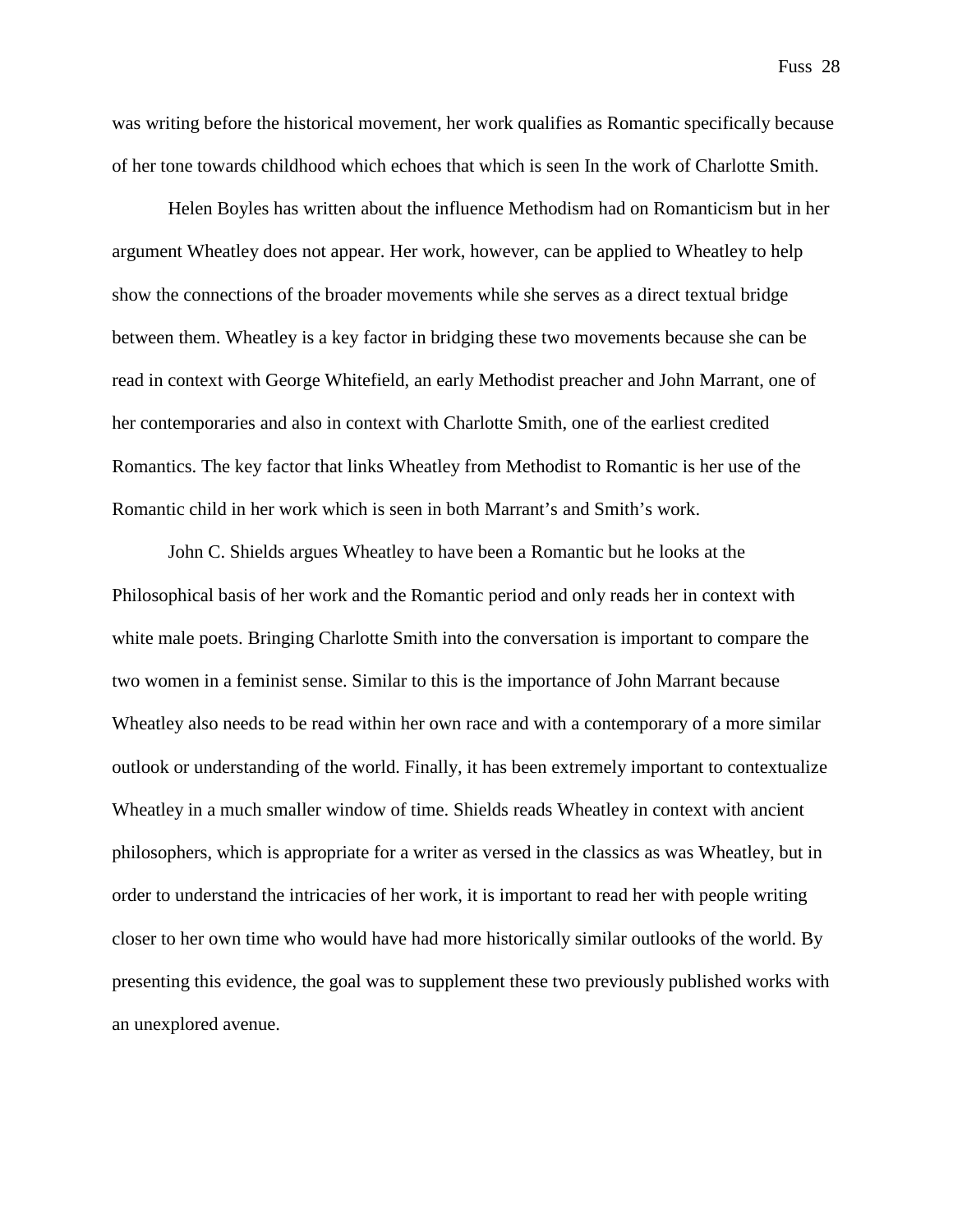was writing before the historical movement, her work qualifies as Romantic specifically because of her tone towards childhood which echoes that which is seen In the work of Charlotte Smith.

Helen Boyles has written about the influence Methodism had on Romanticism but in her argument Wheatley does not appear. Her work, however, can be applied to Wheatley to help show the connections of the broader movements while she serves as a direct textual bridge between them. Wheatley is a key factor in bridging these two movements because she can be read in context with George Whitefield, an early Methodist preacher and John Marrant, one of her contemporaries and also in context with Charlotte Smith, one of the earliest credited Romantics. The key factor that links Wheatley from Methodist to Romantic is her use of the Romantic child in her work which is seen in both Marrant's and Smith's work.

John C. Shields argues Wheatley to have been a Romantic but he looks at the Philosophical basis of her work and the Romantic period and only reads her in context with white male poets. Bringing Charlotte Smith into the conversation is important to compare the two women in a feminist sense. Similar to this is the importance of John Marrant because Wheatley also needs to be read within her own race and with a contemporary of a more similar outlook or understanding of the world. Finally, it has been extremely important to contextualize Wheatley in a much smaller window of time. Shields reads Wheatley in context with ancient philosophers, which is appropriate for a writer as versed in the classics as was Wheatley, but in order to understand the intricacies of her work, it is important to read her with people writing closer to her own time who would have had more historically similar outlooks of the world. By presenting this evidence, the goal was to supplement these two previously published works with an unexplored avenue.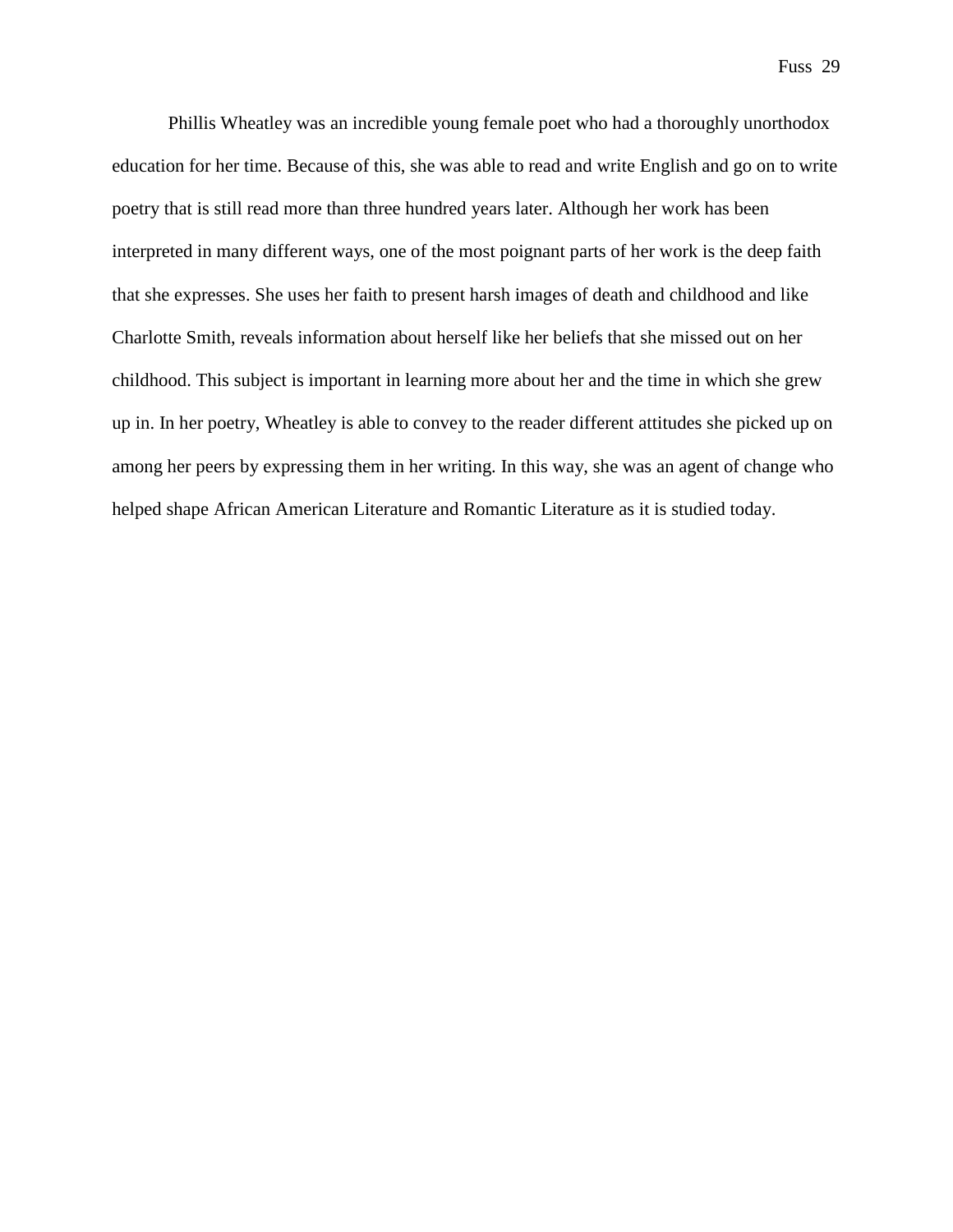Phillis Wheatley was an incredible young female poet who had a thoroughly unorthodox education for her time. Because of this, she was able to read and write English and go on to write poetry that is still read more than three hundred years later. Although her work has been interpreted in many different ways, one of the most poignant parts of her work is the deep faith that she expresses. She uses her faith to present harsh images of death and childhood and like Charlotte Smith, reveals information about herself like her beliefs that she missed out on her childhood. This subject is important in learning more about her and the time in which she grew up in. In her poetry, Wheatley is able to convey to the reader different attitudes she picked up on among her peers by expressing them in her writing. In this way, she was an agent of change who helped shape African American Literature and Romantic Literature as it is studied today.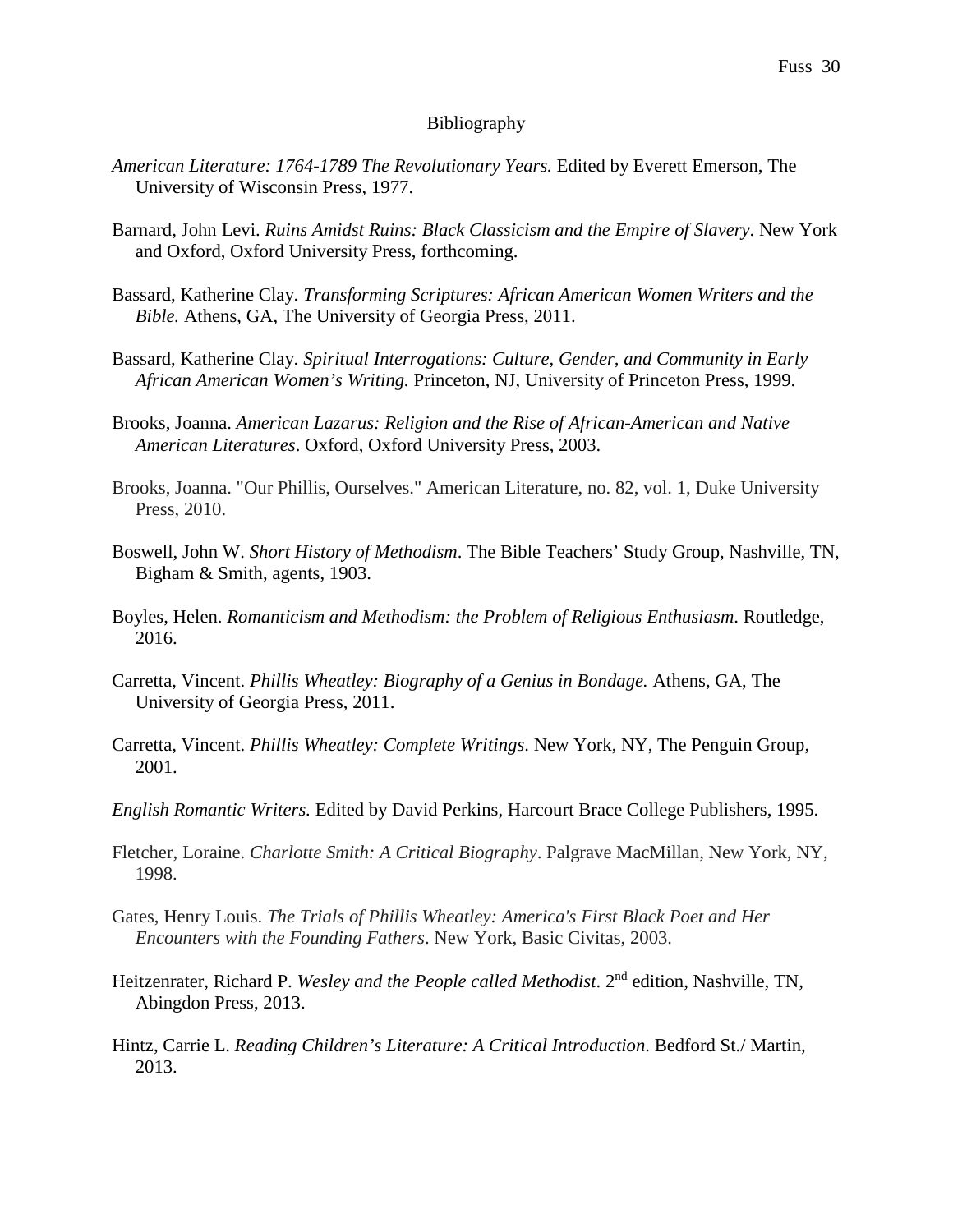# Bibliography

- *American Literature: 1764-1789 The Revolutionary Years.* Edited by Everett Emerson, The University of Wisconsin Press, 1977.
- Barnard, John Levi. *Ruins Amidst Ruins: Black Classicism and the Empire of Slavery*. New York and Oxford, Oxford University Press, forthcoming.
- Bassard, Katherine Clay. *Transforming Scriptures: African American Women Writers and the Bible.* Athens, GA, The University of Georgia Press, 2011.
- Bassard, Katherine Clay. *Spiritual Interrogations: Culture, Gender, and Community in Early African American Women's Writing.* Princeton, NJ, University of Princeton Press, 1999.
- Brooks, Joanna. *American Lazarus: Religion and the Rise of African-American and Native American Literatures*. Oxford, Oxford University Press, 2003.
- Brooks, Joanna. "Our Phillis, Ourselves." American Literature, no. 82, vol. 1, Duke University Press, 2010.
- Boswell, John W. *Short History of Methodism*. The Bible Teachers' Study Group, Nashville, TN, Bigham & Smith, agents, 1903.
- Boyles, Helen. *Romanticism and Methodism: the Problem of Religious Enthusiasm*. Routledge, 2016.
- Carretta, Vincent. *Phillis Wheatley: Biography of a Genius in Bondage.* Athens, GA, The University of Georgia Press, 2011.
- Carretta, Vincent. *Phillis Wheatley: Complete Writings*. New York, NY, The Penguin Group, 2001.
- *English Romantic Writers.* Edited by David Perkins, Harcourt Brace College Publishers, 1995.
- Fletcher, Loraine. *Charlotte Smith: A Critical Biography*. Palgrave MacMillan, New York, NY, 1998.
- Gates, Henry Louis. *The Trials of Phillis Wheatley: America's First Black Poet and Her Encounters with the Founding Fathers*. New York, Basic Civitas, 2003.
- Heitzenrater, Richard P. *Wesley and the People called Methodist*. 2nd edition, Nashville, TN, Abingdon Press, 2013.
- Hintz, Carrie L. *Reading Children's Literature: A Critical Introduction*. Bedford St./ Martin, 2013.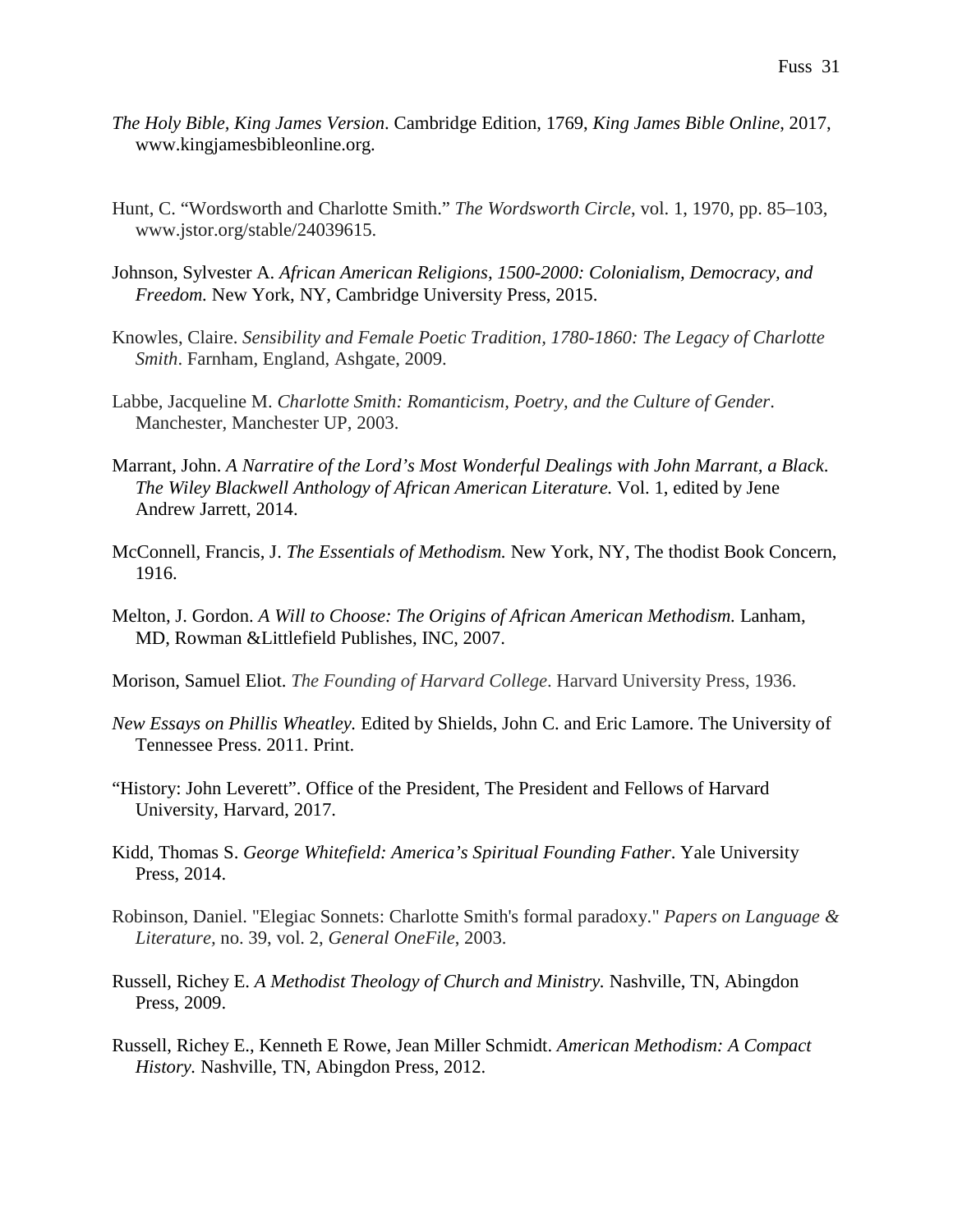- *The Holy Bible, King James Version*. Cambridge Edition, 1769, *King James Bible Online*, 2017, www.kingjamesbibleonline.org.
- Hunt, C. "Wordsworth and Charlotte Smith." *The Wordsworth Circle*, vol. 1, 1970, pp. 85–103, www.jstor.org/stable/24039615.
- Johnson, Sylvester A. *African American Religions, 1500-2000: Colonialism, Democracy, and Freedom.* New York, NY, Cambridge University Press, 2015.
- Knowles, Claire. *Sensibility and Female Poetic Tradition, 1780-1860: The Legacy of Charlotte Smith*. Farnham, England, Ashgate, 2009.
- Labbe, Jacqueline M. *Charlotte Smith: Romanticism, Poetry, and the Culture of Gender*. Manchester, Manchester UP, 2003.
- Marrant, John. *A Narratire of the Lord's Most Wonderful Dealings with John Marrant, a Black*. *The Wiley Blackwell Anthology of African American Literature.* Vol. 1, edited by Jene Andrew Jarrett, 2014.
- McConnell, Francis, J. *The Essentials of Methodism.* New York, NY, The thodist Book Concern, 1916.
- Melton, J. Gordon. *A Will to Choose: The Origins of African American Methodism.* Lanham, MD, Rowman &Littlefield Publishes, INC, 2007.
- Morison, Samuel Eliot. *The Founding of Harvard College*. Harvard University Press, 1936.
- *New Essays on Phillis Wheatley.* Edited by Shields, John C. and Eric Lamore. The University of Tennessee Press. 2011. Print.
- "History: John Leverett". Office of the President, The President and Fellows of Harvard University, Harvard, 2017.
- Kidd, Thomas S. *George Whitefield: America's Spiritual Founding Father*. Yale University Press, 2014.
- Robinson, Daniel. "Elegiac Sonnets: Charlotte Smith's formal paradoxy." *Papers on Language & Literature,* no. 39, vol. 2, *General OneFile*, 2003.
- Russell, Richey E. *A Methodist Theology of Church and Ministry.* Nashville, TN, Abingdon Press, 2009.
- Russell, Richey E., Kenneth E Rowe, Jean Miller Schmidt. *American Methodism: A Compact History.* Nashville, TN, Abingdon Press, 2012.